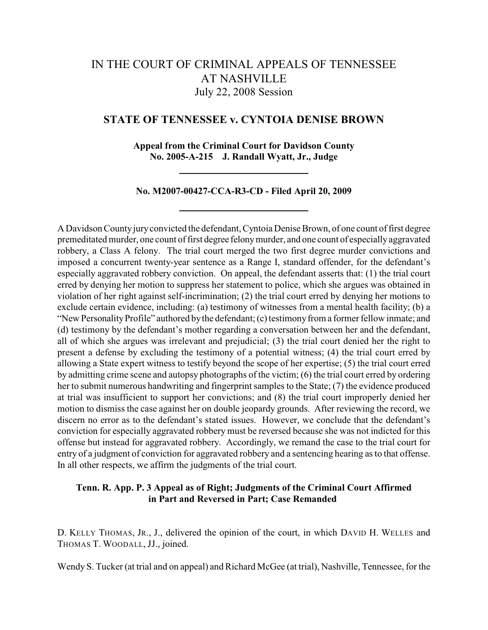# IN THE COURT OF CRIMINAL APPEALS OF TENNESSEE AT NASHVILLE July 22, 2008 Session

# **STATE OF TENNESSEE v. CYNTOIA DENISE BROWN**

**Appeal from the Criminal Court for Davidson County No. 2005-A-215 J. Randall Wyatt, Jr., Judge**

**No. M2007-00427-CCA-R3-CD - Filed April 20, 2009**

A Davidson County jury convicted the defendant, Cyntoia Denise Brown, of one count of first degree premeditated murder, one count of first degree felony murder, and one count of especially aggravated robbery, a Class A felony. The trial court merged the two first degree murder convictions and imposed a concurrent twenty-year sentence as a Range I, standard offender, for the defendant's especially aggravated robbery conviction. On appeal, the defendant asserts that: (1) the trial court erred by denying her motion to suppress her statement to police, which she argues was obtained in violation of her right against self-incrimination; (2) the trial court erred by denying her motions to exclude certain evidence, including: (a) testimony of witnesses from a mental health facility; (b) a "New Personality Profile" authored by the defendant; (c) testimony from a former fellow inmate; and (d) testimony by the defendant's mother regarding a conversation between her and the defendant, all of which she argues was irrelevant and prejudicial; (3) the trial court denied her the right to present a defense by excluding the testimony of a potential witness; (4) the trial court erred by allowing a State expert witness to testify beyond the scope of her expertise; (5) the trial court erred by admitting crime scene and autopsy photographs of the victim; (6) the trial court erred by ordering her to submit numerous handwriting and fingerprint samples to the State; (7) the evidence produced at trial was insufficient to support her convictions; and (8) the trial court improperly denied her motion to dismiss the case against her on double jeopardy grounds. After reviewing the record, we discern no error as to the defendant's stated issues. However, we conclude that the defendant's conviction for especially aggravated robbery must be reversed because she was not indicted for this offense but instead for aggravated robbery. Accordingly, we remand the case to the trial court for entry of a judgment of conviction for aggravated robbery and a sentencing hearing as to that offense. In all other respects, we affirm the judgments of the trial court.

# **Tenn. R. App. P. 3 Appeal as of Right; Judgments of the Criminal Court Affirmed in Part and Reversed in Part; Case Remanded**

D. KELLY THOMAS, JR., J., delivered the opinion of the court, in which DAVID H. WELLES and THOMAS T. WOODALL, JJ., joined.

Wendy S. Tucker (at trial and on appeal) and Richard McGee (at trial), Nashville, Tennessee, for the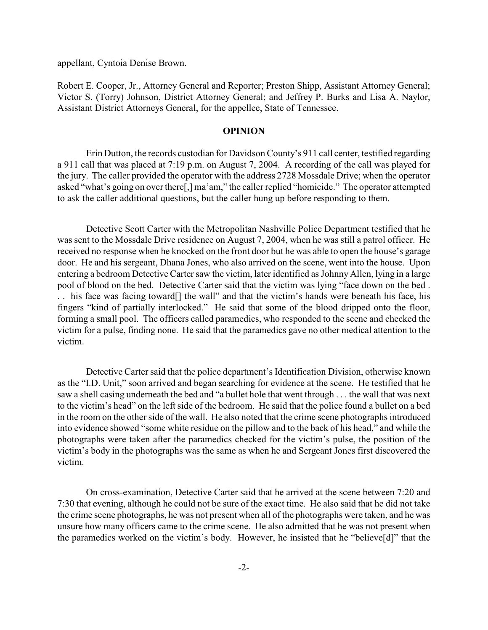appellant, Cyntoia Denise Brown.

Robert E. Cooper, Jr., Attorney General and Reporter; Preston Shipp, Assistant Attorney General; Victor S. (Torry) Johnson, District Attorney General; and Jeffrey P. Burks and Lisa A. Naylor, Assistant District Attorneys General, for the appellee, State of Tennessee.

# **OPINION**

Erin Dutton, the records custodian for Davidson County's 911 call center, testified regarding a 911 call that was placed at 7:19 p.m. on August 7, 2004. A recording of the call was played for the jury. The caller provided the operator with the address 2728 Mossdale Drive; when the operator asked "what's going on over there[,] ma'am," the caller replied "homicide." The operator attempted to ask the caller additional questions, but the caller hung up before responding to them.

Detective Scott Carter with the Metropolitan Nashville Police Department testified that he was sent to the Mossdale Drive residence on August 7, 2004, when he was still a patrol officer. He received no response when he knocked on the front door but he was able to open the house's garage door. He and his sergeant, Dhana Jones, who also arrived on the scene, went into the house. Upon entering a bedroom Detective Carter saw the victim, later identified as Johnny Allen, lying in a large pool of blood on the bed. Detective Carter said that the victim was lying "face down on the bed . . . his face was facing toward[] the wall" and that the victim's hands were beneath his face, his fingers "kind of partially interlocked." He said that some of the blood dripped onto the floor, forming a small pool. The officers called paramedics, who responded to the scene and checked the victim for a pulse, finding none. He said that the paramedics gave no other medical attention to the victim.

Detective Carter said that the police department's Identification Division, otherwise known as the "I.D. Unit," soon arrived and began searching for evidence at the scene. He testified that he saw a shell casing underneath the bed and "a bullet hole that went through . . . the wall that was next to the victim's head" on the left side of the bedroom. He said that the police found a bullet on a bed in the room on the other side of the wall. He also noted that the crime scene photographs introduced into evidence showed "some white residue on the pillow and to the back of his head," and while the photographs were taken after the paramedics checked for the victim's pulse, the position of the victim's body in the photographs was the same as when he and Sergeant Jones first discovered the victim.

On cross-examination, Detective Carter said that he arrived at the scene between 7:20 and 7:30 that evening, although he could not be sure of the exact time. He also said that he did not take the crime scene photographs, he was not present when all of the photographs were taken, and he was unsure how many officers came to the crime scene. He also admitted that he was not present when the paramedics worked on the victim's body. However, he insisted that he "believe[d]" that the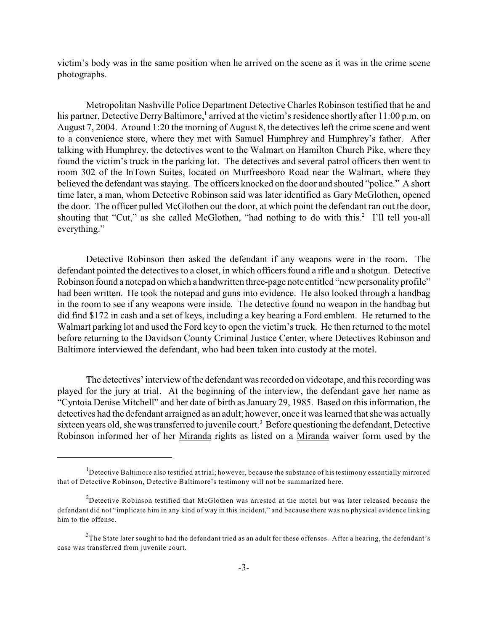victim's body was in the same position when he arrived on the scene as it was in the crime scene photographs.

Metropolitan Nashville Police Department Detective Charles Robinson testified that he and his partner, Detective Derry Baltimore,<sup>1</sup> arrived at the victim's residence shortly after 11:00 p.m. on August 7, 2004. Around 1:20 the morning of August 8, the detectives left the crime scene and went to a convenience store, where they met with Samuel Humphrey and Humphrey's father. After talking with Humphrey, the detectives went to the Walmart on Hamilton Church Pike, where they found the victim's truck in the parking lot. The detectives and several patrol officers then went to room 302 of the InTown Suites, located on Murfreesboro Road near the Walmart, where they believed the defendant was staying. The officers knocked on the door and shouted "police." A short time later, a man, whom Detective Robinson said was later identified as Gary McGlothen, opened the door. The officer pulled McGlothen out the door, at which point the defendant ran out the door, shouting that "Cut," as she called McGlothen, "had nothing to do with this.<sup>2</sup> I'll tell you-all everything."

Detective Robinson then asked the defendant if any weapons were in the room. The defendant pointed the detectives to a closet, in which officers found a rifle and a shotgun. Detective Robinson found a notepad on which a handwritten three-page note entitled "new personality profile" had been written. He took the notepad and guns into evidence. He also looked through a handbag in the room to see if any weapons were inside. The detective found no weapon in the handbag but did find \$172 in cash and a set of keys, including a key bearing a Ford emblem. He returned to the Walmart parking lot and used the Ford key to open the victim's truck. He then returned to the motel before returning to the Davidson County Criminal Justice Center, where Detectives Robinson and Baltimore interviewed the defendant, who had been taken into custody at the motel.

The detectives' interview of the defendant was recorded on videotape, and this recording was played for the jury at trial. At the beginning of the interview, the defendant gave her name as "Cyntoia Denise Mitchell" and her date of birth as January 29, 1985. Based on this information, the detectives had the defendant arraigned as an adult; however, once it was learned that she was actually sixteen years old, she was transferred to juvenile court.<sup>3</sup> Before questioning the defendant, Detective Robinson informed her of her Miranda rights as listed on a Miranda waiver form used by the

 $<sup>1</sup>D$  etective Baltimore also testified at trial; however, because the substance of his testimony essentially mirrored</sup> that of Detective Robinson, Detective Baltimore's testimony will not be summarized here.

<sup>&</sup>lt;sup>2</sup>Detective Robinson testified that McGlothen was arrested at the motel but was later released because the defendant did not "implicate him in any kind of way in this incident," and because there was no physical evidence linking him to the offense.

 $3$ The State later sought to had the defendant tried as an adult for these offenses. After a hearing, the defendant's case was transferred from juvenile court.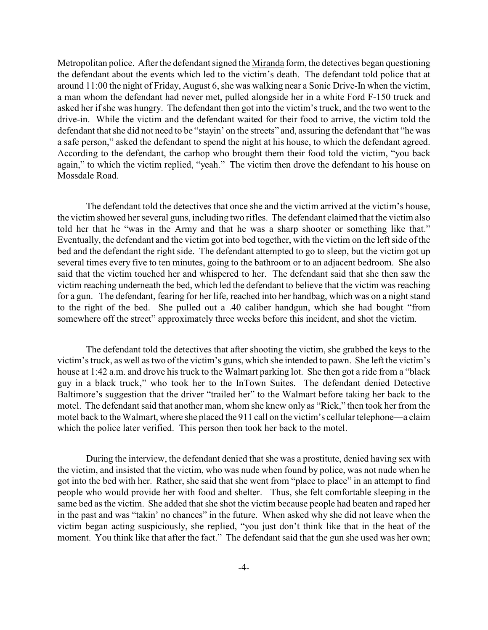Metropolitan police. After the defendant signed the Miranda form, the detectives began questioning the defendant about the events which led to the victim's death. The defendant told police that at around 11:00 the night of Friday, August 6, she was walking near a Sonic Drive-In when the victim, a man whom the defendant had never met, pulled alongside her in a white Ford F-150 truck and asked her if she was hungry. The defendant then got into the victim's truck, and the two went to the drive-in. While the victim and the defendant waited for their food to arrive, the victim told the defendant that she did not need to be "stayin' on the streets" and, assuring the defendant that "he was a safe person," asked the defendant to spend the night at his house, to which the defendant agreed. According to the defendant, the carhop who brought them their food told the victim, "you back again," to which the victim replied, "yeah." The victim then drove the defendant to his house on Mossdale Road.

The defendant told the detectives that once she and the victim arrived at the victim's house, the victim showed her several guns, including two rifles. The defendant claimed that the victim also told her that he "was in the Army and that he was a sharp shooter or something like that." Eventually, the defendant and the victim got into bed together, with the victim on the left side of the bed and the defendant the right side. The defendant attempted to go to sleep, but the victim got up several times every five to ten minutes, going to the bathroom or to an adjacent bedroom. She also said that the victim touched her and whispered to her. The defendant said that she then saw the victim reaching underneath the bed, which led the defendant to believe that the victim was reaching for a gun. The defendant, fearing for her life, reached into her handbag, which was on a night stand to the right of the bed. She pulled out a .40 caliber handgun, which she had bought "from somewhere off the street" approximately three weeks before this incident, and shot the victim.

The defendant told the detectives that after shooting the victim, she grabbed the keys to the victim's truck, as well as two of the victim's guns, which she intended to pawn. She left the victim's house at 1:42 a.m. and drove his truck to the Walmart parking lot. She then got a ride from a "black guy in a black truck," who took her to the InTown Suites. The defendant denied Detective Baltimore's suggestion that the driver "trailed her" to the Walmart before taking her back to the motel. The defendant said that another man, whom she knew only as "Rick," then took her from the motel back to the Walmart, where she placed the 911 call on the victim's cellular telephone—a claim which the police later verified. This person then took her back to the motel.

During the interview, the defendant denied that she was a prostitute, denied having sex with the victim, and insisted that the victim, who was nude when found by police, was not nude when he got into the bed with her. Rather, she said that she went from "place to place" in an attempt to find people who would provide her with food and shelter. Thus, she felt comfortable sleeping in the same bed as the victim. She added that she shot the victim because people had beaten and raped her in the past and was "takin' no chances" in the future. When asked why she did not leave when the victim began acting suspiciously, she replied, "you just don't think like that in the heat of the moment. You think like that after the fact." The defendant said that the gun she used was her own;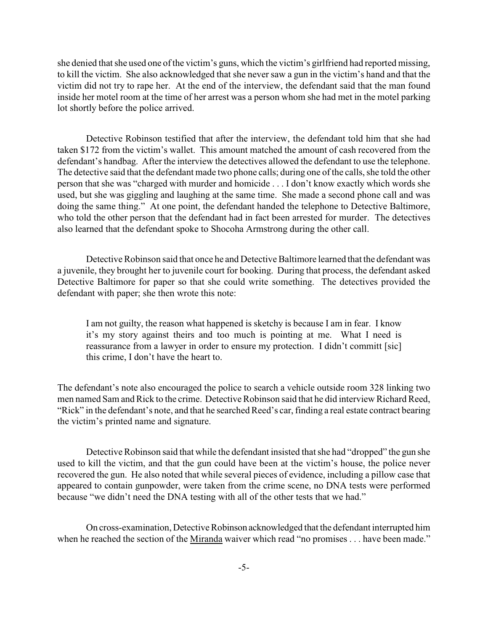she denied that she used one of the victim's guns, which the victim's girlfriend had reported missing, to kill the victim. She also acknowledged that she never saw a gun in the victim's hand and that the victim did not try to rape her. At the end of the interview, the defendant said that the man found inside her motel room at the time of her arrest was a person whom she had met in the motel parking lot shortly before the police arrived.

Detective Robinson testified that after the interview, the defendant told him that she had taken \$172 from the victim's wallet. This amount matched the amount of cash recovered from the defendant's handbag. After the interview the detectives allowed the defendant to use the telephone. The detective said that the defendant made two phone calls; during one of the calls, she told the other person that she was "charged with murder and homicide . . . I don't know exactly which words she used, but she was giggling and laughing at the same time. She made a second phone call and was doing the same thing." At one point, the defendant handed the telephone to Detective Baltimore, who told the other person that the defendant had in fact been arrested for murder. The detectives also learned that the defendant spoke to Shocoha Armstrong during the other call.

Detective Robinson said that once he and Detective Baltimore learned that the defendant was a juvenile, they brought her to juvenile court for booking. During that process, the defendant asked Detective Baltimore for paper so that she could write something. The detectives provided the defendant with paper; she then wrote this note:

I am not guilty, the reason what happened is sketchy is because I am in fear. I know it's my story against theirs and too much is pointing at me. What I need is reassurance from a lawyer in order to ensure my protection. I didn't committ [sic] this crime, I don't have the heart to.

The defendant's note also encouraged the police to search a vehicle outside room 328 linking two men named Sam and Rick to the crime. Detective Robinson said that he did interview Richard Reed, "Rick" in the defendant's note, and that he searched Reed's car, finding a real estate contract bearing the victim's printed name and signature.

Detective Robinson said that while the defendant insisted that she had "dropped" the gun she used to kill the victim, and that the gun could have been at the victim's house, the police never recovered the gun. He also noted that while several pieces of evidence, including a pillow case that appeared to contain gunpowder, were taken from the crime scene, no DNA tests were performed because "we didn't need the DNA testing with all of the other tests that we had."

On cross-examination, Detective Robinson acknowledged that the defendant interrupted him when he reached the section of the Miranda waiver which read "no promises . . . have been made."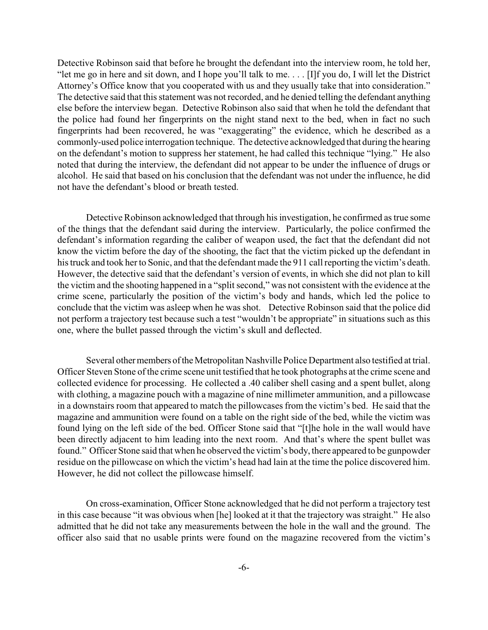Detective Robinson said that before he brought the defendant into the interview room, he told her, "let me go in here and sit down, and I hope you'll talk to me. . . . [I]f you do, I will let the District Attorney's Office know that you cooperated with us and they usually take that into consideration." The detective said that this statement was not recorded, and he denied telling the defendant anything else before the interview began. Detective Robinson also said that when he told the defendant that the police had found her fingerprints on the night stand next to the bed, when in fact no such fingerprints had been recovered, he was "exaggerating" the evidence, which he described as a commonly-used police interrogation technique. The detective acknowledged that during the hearing on the defendant's motion to suppress her statement, he had called this technique "lying." He also noted that during the interview, the defendant did not appear to be under the influence of drugs or alcohol. He said that based on his conclusion that the defendant was not under the influence, he did not have the defendant's blood or breath tested.

Detective Robinson acknowledged that through his investigation, he confirmed as true some of the things that the defendant said during the interview. Particularly, the police confirmed the defendant's information regarding the caliber of weapon used, the fact that the defendant did not know the victim before the day of the shooting, the fact that the victim picked up the defendant in his truck and took herto Sonic, and that the defendant made the 911 call reporting the victim's death. However, the detective said that the defendant's version of events, in which she did not plan to kill the victim and the shooting happened in a "split second," was not consistent with the evidence at the crime scene, particularly the position of the victim's body and hands, which led the police to conclude that the victim was asleep when he was shot. Detective Robinson said that the police did not perform a trajectory test because such a test "wouldn't be appropriate" in situations such as this one, where the bullet passed through the victim's skull and deflected.

Several other members of the Metropolitan Nashville Police Department also testified at trial. Officer Steven Stone of the crime scene unit testified that he took photographs at the crime scene and collected evidence for processing. He collected a .40 caliber shell casing and a spent bullet, along with clothing, a magazine pouch with a magazine of nine millimeter ammunition, and a pillowcase in a downstairs room that appeared to match the pillowcases from the victim's bed. He said that the magazine and ammunition were found on a table on the right side of the bed, while the victim was found lying on the left side of the bed. Officer Stone said that "[t]he hole in the wall would have been directly adjacent to him leading into the next room. And that's where the spent bullet was found." Officer Stone said that when he observed the victim's body, there appeared to be gunpowder residue on the pillowcase on which the victim's head had lain at the time the police discovered him. However, he did not collect the pillowcase himself.

On cross-examination, Officer Stone acknowledged that he did not perform a trajectory test in this case because "it was obvious when [he] looked at it that the trajectory was straight." He also admitted that he did not take any measurements between the hole in the wall and the ground. The officer also said that no usable prints were found on the magazine recovered from the victim's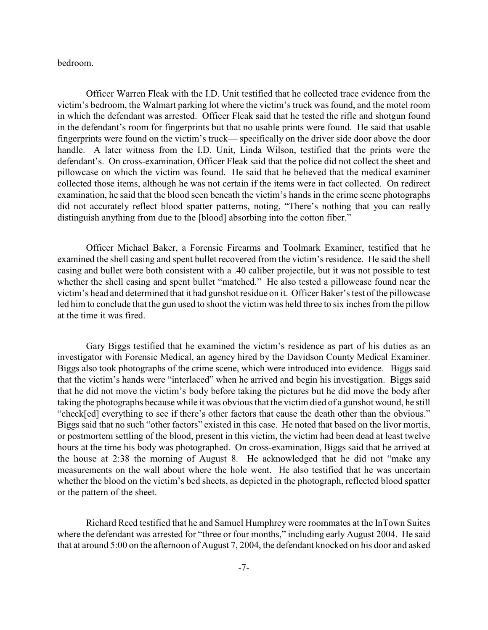bedroom.

Officer Warren Fleak with the I.D. Unit testified that he collected trace evidence from the victim's bedroom, the Walmart parking lot where the victim's truck was found, and the motel room in which the defendant was arrested. Officer Fleak said that he tested the rifle and shotgun found in the defendant's room for fingerprints but that no usable prints were found. He said that usable fingerprints were found on the victim's truck— specifically on the driver side door above the door handle. A later witness from the I.D. Unit, Linda Wilson, testified that the prints were the defendant's. On cross-examination, Officer Fleak said that the police did not collect the sheet and pillowcase on which the victim was found. He said that he believed that the medical examiner collected those items, although he was not certain if the items were in fact collected. On redirect examination, he said that the blood seen beneath the victim's hands in the crime scene photographs did not accurately reflect blood spatter patterns, noting, "There's nothing that you can really distinguish anything from due to the [blood] absorbing into the cotton fiber."

Officer Michael Baker, a Forensic Firearms and Toolmark Examiner, testified that he examined the shell casing and spent bullet recovered from the victim's residence. He said the shell casing and bullet were both consistent with a .40 caliber projectile, but it was not possible to test whether the shell casing and spent bullet "matched." He also tested a pillowcase found near the victim's head and determined that it had gunshot residue on it. Officer Baker's test of the pillowcase led him to conclude that the gun used to shoot the victim was held three to six inches from the pillow at the time it was fired.

Gary Biggs testified that he examined the victim's residence as part of his duties as an investigator with Forensic Medical, an agency hired by the Davidson County Medical Examiner. Biggs also took photographs of the crime scene, which were introduced into evidence. Biggs said that the victim's hands were "interlaced" when he arrived and begin his investigation. Biggs said that he did not move the victim's body before taking the pictures but he did move the body after taking the photographs because while it was obvious that the victim died of a gunshot wound, he still "check[ed] everything to see if there's other factors that cause the death other than the obvious." Biggs said that no such "other factors" existed in this case. He noted that based on the livor mortis, or postmortem settling of the blood, present in this victim, the victim had been dead at least twelve hours at the time his body was photographed. On cross-examination, Biggs said that he arrived at the house at 2:38 the morning of August 8. He acknowledged that he did not "make any measurements on the wall about where the hole went. He also testified that he was uncertain whether the blood on the victim's bed sheets, as depicted in the photograph, reflected blood spatter or the pattern of the sheet.

Richard Reed testified that he and Samuel Humphrey were roommates at the InTown Suites where the defendant was arrested for "three or four months," including early August 2004. He said that at around 5:00 on the afternoon of August 7, 2004, the defendant knocked on his door and asked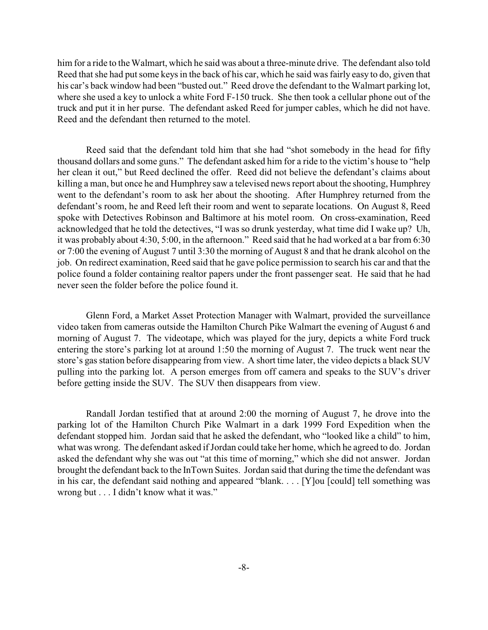him for a ride to the Walmart, which he said was about a three-minute drive. The defendant also told Reed that she had put some keys in the back of his car, which he said was fairly easy to do, given that his car's back window had been "busted out." Reed drove the defendant to the Walmart parking lot, where she used a key to unlock a white Ford F-150 truck. She then took a cellular phone out of the truck and put it in her purse. The defendant asked Reed for jumper cables, which he did not have. Reed and the defendant then returned to the motel.

Reed said that the defendant told him that she had "shot somebody in the head for fifty thousand dollars and some guns." The defendant asked him for a ride to the victim's house to "help her clean it out," but Reed declined the offer. Reed did not believe the defendant's claims about killing a man, but once he and Humphrey saw a televised news report about the shooting, Humphrey went to the defendant's room to ask her about the shooting. After Humphrey returned from the defendant's room, he and Reed left their room and went to separate locations. On August 8, Reed spoke with Detectives Robinson and Baltimore at his motel room. On cross-examination, Reed acknowledged that he told the detectives, "I was so drunk yesterday, what time did I wake up? Uh, it was probably about 4:30, 5:00, in the afternoon." Reed said that he had worked at a bar from 6:30 or 7:00 the evening of August 7 until 3:30 the morning of August 8 and that he drank alcohol on the job. On redirect examination, Reed said that he gave police permission to search his car and that the police found a folder containing realtor papers under the front passenger seat. He said that he had never seen the folder before the police found it.

Glenn Ford, a Market Asset Protection Manager with Walmart, provided the surveillance video taken from cameras outside the Hamilton Church Pike Walmart the evening of August 6 and morning of August 7. The videotape, which was played for the jury, depicts a white Ford truck entering the store's parking lot at around 1:50 the morning of August 7. The truck went near the store's gas station before disappearing from view. A short time later, the video depicts a black SUV pulling into the parking lot. A person emerges from off camera and speaks to the SUV's driver before getting inside the SUV. The SUV then disappears from view.

Randall Jordan testified that at around 2:00 the morning of August 7, he drove into the parking lot of the Hamilton Church Pike Walmart in a dark 1999 Ford Expedition when the defendant stopped him. Jordan said that he asked the defendant, who "looked like a child" to him, what was wrong. The defendant asked if Jordan could take her home, which he agreed to do. Jordan asked the defendant why she was out "at this time of morning," which she did not answer. Jordan brought the defendant back to the InTown Suites. Jordan said that during the time the defendant was in his car, the defendant said nothing and appeared "blank. . . . [Y]ou [could] tell something was wrong but . . . I didn't know what it was."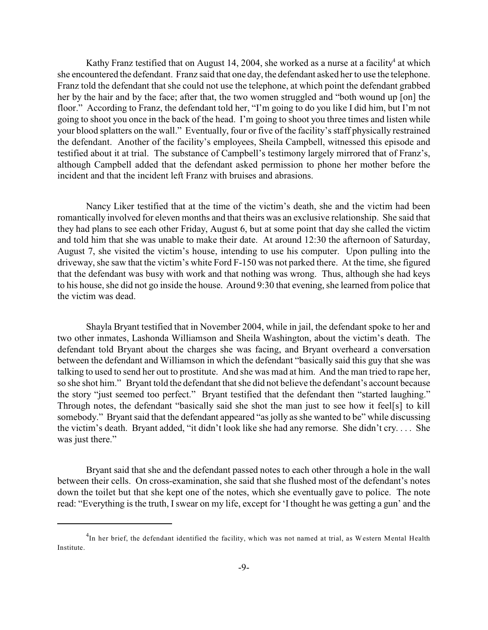Kathy Franz testified that on August 14, 2004, she worked as a nurse at a facility<sup>4</sup> at which she encountered the defendant. Franz said that one day, the defendant asked her to use the telephone. Franz told the defendant that she could not use the telephone, at which point the defendant grabbed her by the hair and by the face; after that, the two women struggled and "both wound up [on] the floor." According to Franz, the defendant told her, "I'm going to do you like I did him, but I'm not going to shoot you once in the back of the head. I'm going to shoot you three times and listen while your blood splatters on the wall." Eventually, four or five of the facility's staff physically restrained the defendant. Another of the facility's employees, Sheila Campbell, witnessed this episode and testified about it at trial. The substance of Campbell's testimony largely mirrored that of Franz's, although Campbell added that the defendant asked permission to phone her mother before the incident and that the incident left Franz with bruises and abrasions.

Nancy Liker testified that at the time of the victim's death, she and the victim had been romantically involved for eleven months and that theirs was an exclusive relationship. She said that they had plans to see each other Friday, August 6, but at some point that day she called the victim and told him that she was unable to make their date. At around 12:30 the afternoon of Saturday, August 7, she visited the victim's house, intending to use his computer. Upon pulling into the driveway, she saw that the victim's white Ford F-150 was not parked there. At the time, she figured that the defendant was busy with work and that nothing was wrong. Thus, although she had keys to his house, she did not go inside the house. Around 9:30 that evening, she learned from police that the victim was dead.

Shayla Bryant testified that in November 2004, while in jail, the defendant spoke to her and two other inmates, Lashonda Williamson and Sheila Washington, about the victim's death. The defendant told Bryant about the charges she was facing, and Bryant overheard a conversation between the defendant and Williamson in which the defendant "basically said this guy that she was talking to used to send her out to prostitute. And she was mad at him. And the man tried to rape her, so she shot him." Bryant told the defendant that she did not believe the defendant's account because the story "just seemed too perfect." Bryant testified that the defendant then "started laughing." Through notes, the defendant "basically said she shot the man just to see how it feel[s] to kill somebody." Bryant said that the defendant appeared "as jolly as she wanted to be" while discussing the victim's death. Bryant added, "it didn't look like she had any remorse. She didn't cry. . . . She was just there."

Bryant said that she and the defendant passed notes to each other through a hole in the wall between their cells. On cross-examination, she said that she flushed most of the defendant's notes down the toilet but that she kept one of the notes, which she eventually gave to police. The note read: "Everything is the truth, Iswear on my life, except for 'I thought he was getting a gun' and the

<sup>&</sup>lt;sup>4</sup>In her brief, the defendant identified the facility, which was not named at trial, as Western Mental Health Institute.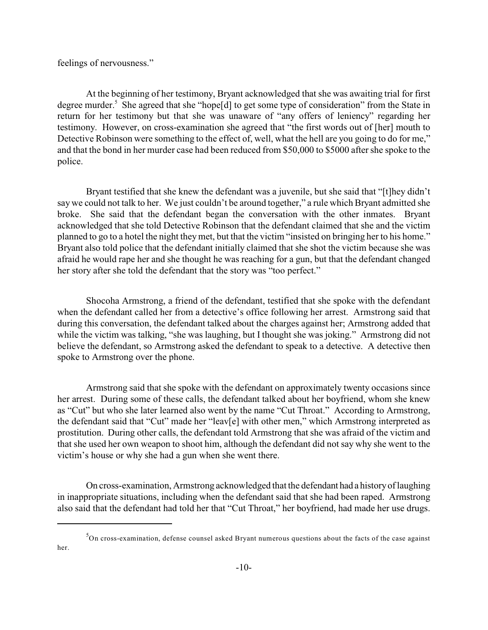feelings of nervousness."

At the beginning of her testimony, Bryant acknowledged that she was awaiting trial for first degree murder.<sup>5</sup> She agreed that she "hope $[d]$  to get some type of consideration" from the State in return for her testimony but that she was unaware of "any offers of leniency" regarding her testimony. However, on cross-examination she agreed that "the first words out of [her] mouth to Detective Robinson were something to the effect of, well, what the hell are you going to do for me," and that the bond in her murder case had been reduced from \$50,000 to \$5000 after she spoke to the police.

Bryant testified that she knew the defendant was a juvenile, but she said that "[t]hey didn't say we could not talk to her. We just couldn't be around together," a rule which Bryant admitted she broke. She said that the defendant began the conversation with the other inmates. Bryant acknowledged that she told Detective Robinson that the defendant claimed that she and the victim planned to go to a hotel the night they met, but that the victim "insisted on bringing her to his home." Bryant also told police that the defendant initially claimed that she shot the victim because she was afraid he would rape her and she thought he was reaching for a gun, but that the defendant changed her story after she told the defendant that the story was "too perfect."

Shocoha Armstrong, a friend of the defendant, testified that she spoke with the defendant when the defendant called her from a detective's office following her arrest. Armstrong said that during this conversation, the defendant talked about the charges against her; Armstrong added that while the victim was talking, "she was laughing, but I thought she was joking." Armstrong did not believe the defendant, so Armstrong asked the defendant to speak to a detective. A detective then spoke to Armstrong over the phone.

Armstrong said that she spoke with the defendant on approximately twenty occasions since her arrest. During some of these calls, the defendant talked about her boyfriend, whom she knew as "Cut" but who she later learned also went by the name "Cut Throat." According to Armstrong, the defendant said that "Cut" made her "leav[e] with other men," which Armstrong interpreted as prostitution. During other calls, the defendant told Armstrong that she was afraid of the victim and that she used her own weapon to shoot him, although the defendant did not say why she went to the victim's house or why she had a gun when she went there.

On cross-examination, Armstrong acknowledged that the defendant had a history of laughing in inappropriate situations, including when the defendant said that she had been raped. Armstrong also said that the defendant had told her that "Cut Throat," her boyfriend, had made her use drugs.

 $5$ On cross-examination, defense counsel asked Bryant numerous questions about the facts of the case against her.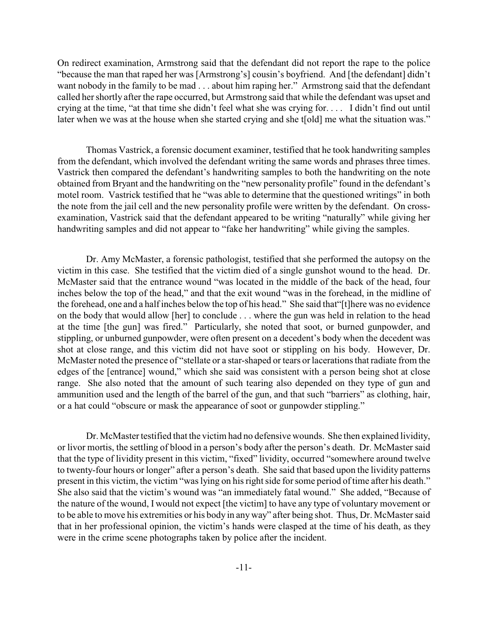On redirect examination, Armstrong said that the defendant did not report the rape to the police "because the man that raped her was [Armstrong's] cousin's boyfriend. And [the defendant] didn't want nobody in the family to be mad . . . about him raping her." Armstrong said that the defendant called her shortly after the rape occurred, but Armstrong said that while the defendant was upset and crying at the time, "at that time she didn't feel what she was crying for. . . . I didn't find out until later when we was at the house when she started crying and she t[old] me what the situation was."

Thomas Vastrick, a forensic document examiner, testified that he took handwriting samples from the defendant, which involved the defendant writing the same words and phrases three times. Vastrick then compared the defendant's handwriting samples to both the handwriting on the note obtained from Bryant and the handwriting on the "new personality profile" found in the defendant's motel room. Vastrick testified that he "was able to determine that the questioned writings" in both the note from the jail cell and the new personality profile were written by the defendant. On crossexamination, Vastrick said that the defendant appeared to be writing "naturally" while giving her handwriting samples and did not appear to "fake her handwriting" while giving the samples.

Dr. Amy McMaster, a forensic pathologist, testified that she performed the autopsy on the victim in this case. She testified that the victim died of a single gunshot wound to the head. Dr. McMaster said that the entrance wound "was located in the middle of the back of the head, four inches below the top of the head," and that the exit wound "was in the forehead, in the midline of the forehead, one and a half inches below the top of his head." She said that"[t]here was no evidence on the body that would allow [her] to conclude . . . where the gun was held in relation to the head at the time [the gun] was fired." Particularly, she noted that soot, or burned gunpowder, and stippling, or unburned gunpowder, were often present on a decedent's body when the decedent was shot at close range, and this victim did not have soot or stippling on his body. However, Dr. McMaster noted the presence of "stellate or a star-shaped or tears or lacerations that radiate from the edges of the [entrance] wound," which she said was consistent with a person being shot at close range. She also noted that the amount of such tearing also depended on they type of gun and ammunition used and the length of the barrel of the gun, and that such "barriers" as clothing, hair, or a hat could "obscure or mask the appearance of soot or gunpowder stippling."

Dr. McMaster testified that the victim had no defensive wounds. She then explained lividity, or livor mortis, the settling of blood in a person's body after the person's death. Dr. McMaster said that the type of lividity present in this victim, "fixed" lividity, occurred "somewhere around twelve to twenty-four hours or longer" after a person's death. She said that based upon the lividity patterns present in this victim, the victim "was lying on his right side for some period of time after his death." She also said that the victim's wound was "an immediately fatal wound." She added, "Because of the nature of the wound, I would not expect [the victim] to have any type of voluntary movement or to be able to move his extremities or his body in any way" after being shot. Thus, Dr. McMaster said that in her professional opinion, the victim's hands were clasped at the time of his death, as they were in the crime scene photographs taken by police after the incident.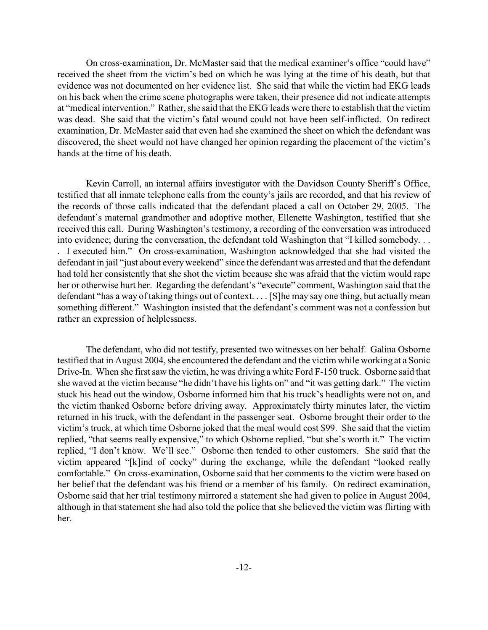On cross-examination, Dr. McMaster said that the medical examiner's office "could have" received the sheet from the victim's bed on which he was lying at the time of his death, but that evidence was not documented on her evidence list. She said that while the victim had EKG leads on his back when the crime scene photographs were taken, their presence did not indicate attempts at "medical intervention." Rather, she said that the EKG leads were there to establish that the victim was dead. She said that the victim's fatal wound could not have been self-inflicted. On redirect examination, Dr. McMaster said that even had she examined the sheet on which the defendant was discovered, the sheet would not have changed her opinion regarding the placement of the victim's hands at the time of his death.

Kevin Carroll, an internal affairs investigator with the Davidson County Sheriff's Office, testified that all inmate telephone calls from the county's jails are recorded, and that his review of the records of those calls indicated that the defendant placed a call on October 29, 2005. The defendant's maternal grandmother and adoptive mother, Ellenette Washington, testified that she received this call. During Washington's testimony, a recording of the conversation was introduced into evidence; during the conversation, the defendant told Washington that "I killed somebody. . . . I executed him." On cross-examination, Washington acknowledged that she had visited the defendant in jail "just about every weekend" since the defendant was arrested and that the defendant had told her consistently that she shot the victim because she was afraid that the victim would rape her or otherwise hurt her. Regarding the defendant's "execute" comment, Washington said that the defendant "has a way of taking things out of context. . . . [S]he may say one thing, but actually mean something different." Washington insisted that the defendant's comment was not a confession but rather an expression of helplessness.

The defendant, who did not testify, presented two witnesses on her behalf. Galina Osborne testified that in August 2004, she encountered the defendant and the victim while working at a Sonic Drive-In. When she first saw the victim, he was driving a white Ford F-150 truck. Osborne said that she waved at the victim because "he didn't have his lights on" and "it was getting dark." The victim stuck his head out the window, Osborne informed him that his truck's headlights were not on, and the victim thanked Osborne before driving away. Approximately thirty minutes later, the victim returned in his truck, with the defendant in the passenger seat. Osborne brought their order to the victim's truck, at which time Osborne joked that the meal would cost \$99. She said that the victim replied, "that seems really expensive," to which Osborne replied, "but she's worth it." The victim replied, "I don't know. We'll see." Osborne then tended to other customers. She said that the victim appeared "[k]ind of cocky" during the exchange, while the defendant "looked really comfortable." On cross-examination, Osborne said that her comments to the victim were based on her belief that the defendant was his friend or a member of his family. On redirect examination, Osborne said that her trial testimony mirrored a statement she had given to police in August 2004, although in that statement she had also told the police that she believed the victim was flirting with her.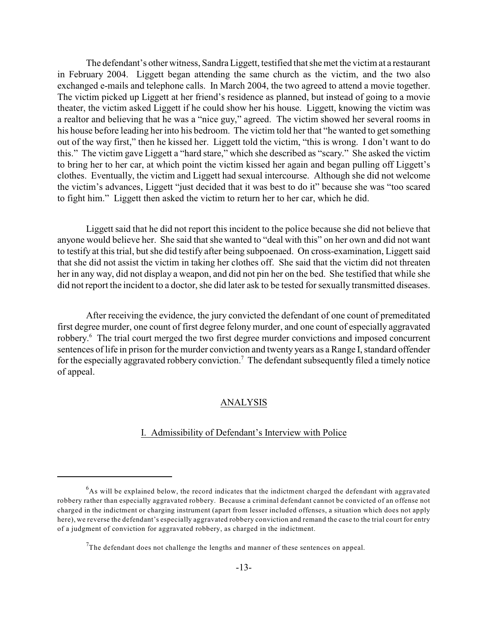The defendant's other witness, Sandra Liggett, testified that she met the victim at a restaurant in February 2004. Liggett began attending the same church as the victim, and the two also exchanged e-mails and telephone calls. In March 2004, the two agreed to attend a movie together. The victim picked up Liggett at her friend's residence as planned, but instead of going to a movie theater, the victim asked Liggett if he could show her his house. Liggett, knowing the victim was a realtor and believing that he was a "nice guy," agreed. The victim showed her several rooms in his house before leading her into his bedroom. The victim told her that "he wanted to get something out of the way first," then he kissed her. Liggett told the victim, "this is wrong. I don't want to do this." The victim gave Liggett a "hard stare," which she described as "scary." She asked the victim to bring her to her car, at which point the victim kissed her again and began pulling off Liggett's clothes. Eventually, the victim and Liggett had sexual intercourse. Although she did not welcome the victim's advances, Liggett "just decided that it was best to do it" because she was "too scared to fight him." Liggett then asked the victim to return her to her car, which he did.

Liggett said that he did not report this incident to the police because she did not believe that anyone would believe her. She said that she wanted to "deal with this" on her own and did not want to testify at this trial, but she did testify after being subpoenaed. On cross-examination, Liggett said that she did not assist the victim in taking her clothes off. She said that the victim did not threaten her in any way, did not display a weapon, and did not pin her on the bed. She testified that while she did not report the incident to a doctor, she did later ask to be tested for sexually transmitted diseases.

After receiving the evidence, the jury convicted the defendant of one count of premeditated first degree murder, one count of first degree felony murder, and one count of especially aggravated robbery.<sup>6</sup> The trial court merged the two first degree murder convictions and imposed concurrent sentences of life in prison for the murder conviction and twenty years as a Range I, standard offender for the especially aggravated robbery conviction.<sup>7</sup> The defendant subsequently filed a timely notice of appeal.

## ANALYSIS

# I. Admissibility of Defendant's Interview with Police

 $6$ As will be explained below, the record indicates that the indictment charged the defendant with aggravated robbery rather than especially aggravated robbery. Because a criminal defendant cannot be convicted of an offense not charged in the indictment or charging instrument (apart from lesser included offenses, a situation which does not apply here), we reverse the defendant's especially aggravated robbery conviction and remand the case to the trial court for entry of a judgment of conviction for aggravated robbery, as charged in the indictment.

The defendant does not challenge the lengths and manner of these sentences on appeal.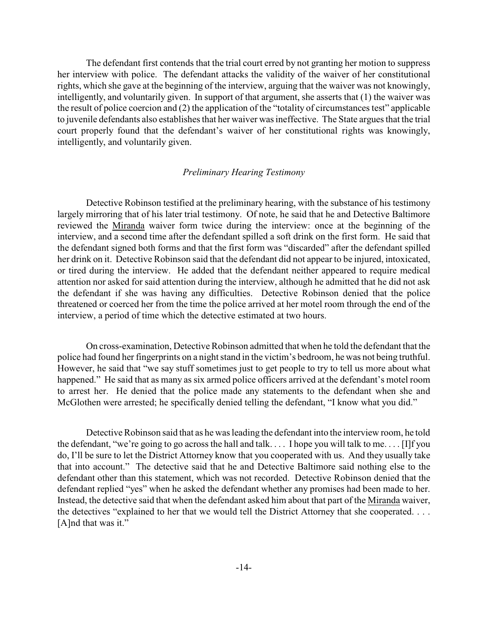The defendant first contends that the trial court erred by not granting her motion to suppress her interview with police. The defendant attacks the validity of the waiver of her constitutional rights, which she gave at the beginning of the interview, arguing that the waiver was not knowingly, intelligently, and voluntarily given. In support of that argument, she asserts that (1) the waiver was the result of police coercion and (2) the application of the "totality of circumstances test" applicable to juvenile defendants also establishes that her waiver was ineffective. The State argues that the trial court properly found that the defendant's waiver of her constitutional rights was knowingly, intelligently, and voluntarily given.

## *Preliminary Hearing Testimony*

Detective Robinson testified at the preliminary hearing, with the substance of his testimony largely mirroring that of his later trial testimony. Of note, he said that he and Detective Baltimore reviewed the Miranda waiver form twice during the interview: once at the beginning of the interview, and a second time after the defendant spilled a soft drink on the first form. He said that the defendant signed both forms and that the first form was "discarded" after the defendant spilled her drink on it. Detective Robinson said that the defendant did not appear to be injured, intoxicated, or tired during the interview. He added that the defendant neither appeared to require medical attention nor asked for said attention during the interview, although he admitted that he did not ask the defendant if she was having any difficulties. Detective Robinson denied that the police threatened or coerced her from the time the police arrived at her motel room through the end of the interview, a period of time which the detective estimated at two hours.

On cross-examination, Detective Robinson admitted that when he told the defendant that the police had found her fingerprints on a night stand in the victim's bedroom, he was not being truthful. However, he said that "we say stuff sometimes just to get people to try to tell us more about what happened." He said that as many as six armed police officers arrived at the defendant's motel room to arrest her. He denied that the police made any statements to the defendant when she and McGlothen were arrested; he specifically denied telling the defendant, "I know what you did."

Detective Robinson said that as he was leading the defendant into the interview room, he told the defendant, "we're going to go across the hall and talk. . . . I hope you will talk to me. . . . [I]f you do, I'll be sure to let the District Attorney know that you cooperated with us. And they usually take that into account." The detective said that he and Detective Baltimore said nothing else to the defendant other than this statement, which was not recorded. Detective Robinson denied that the defendant replied "yes" when he asked the defendant whether any promises had been made to her. Instead, the detective said that when the defendant asked him about that part of the Miranda waiver, the detectives "explained to her that we would tell the District Attorney that she cooperated. . . . [A]nd that was it."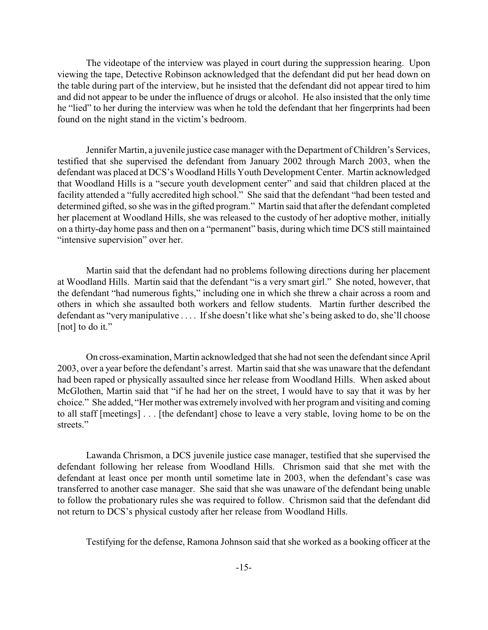The videotape of the interview was played in court during the suppression hearing. Upon viewing the tape, Detective Robinson acknowledged that the defendant did put her head down on the table during part of the interview, but he insisted that the defendant did not appear tired to him and did not appear to be under the influence of drugs or alcohol. He also insisted that the only time he "lied" to her during the interview was when he told the defendant that her fingerprints had been found on the night stand in the victim's bedroom.

Jennifer Martin, a juvenile justice case manager with the Department of Children's Services, testified that she supervised the defendant from January 2002 through March 2003, when the defendant was placed at DCS's Woodland Hills Youth Development Center. Martin acknowledged that Woodland Hills is a "secure youth development center" and said that children placed at the facility attended a "fully accredited high school." She said that the defendant "had been tested and determined gifted, so she was in the gifted program." Martin said that after the defendant completed her placement at Woodland Hills, she was released to the custody of her adoptive mother, initially on a thirty-day home pass and then on a "permanent" basis, during which time DCS still maintained "intensive supervision" over her.

Martin said that the defendant had no problems following directions during her placement at Woodland Hills. Martin said that the defendant "is a very smart girl." She noted, however, that the defendant "had numerous fights," including one in which she threw a chair across a room and others in which she assaulted both workers and fellow students. Martin further described the defendant as "very manipulative . . . . If she doesn't like what she's being asked to do, she'll choose [not] to do it."

On cross-examination, Martin acknowledged that she had not seen the defendant since April 2003, over a year before the defendant's arrest. Martin said that she was unaware that the defendant had been raped or physically assaulted since her release from Woodland Hills. When asked about McGlothen, Martin said that "if he had her on the street, I would have to say that it was by her choice." She added, "Her mother was extremely involved with her program and visiting and coming to all staff [meetings] . . . [the defendant] chose to leave a very stable, loving home to be on the streets."

Lawanda Chrismon, a DCS juvenile justice case manager, testified that she supervised the defendant following her release from Woodland Hills. Chrismon said that she met with the defendant at least once per month until sometime late in 2003, when the defendant's case was transferred to another case manager. She said that she was unaware of the defendant being unable to follow the probationary rules she was required to follow. Chrismon said that the defendant did not return to DCS's physical custody after her release from Woodland Hills.

Testifying for the defense, Ramona Johnson said that she worked as a booking officer at the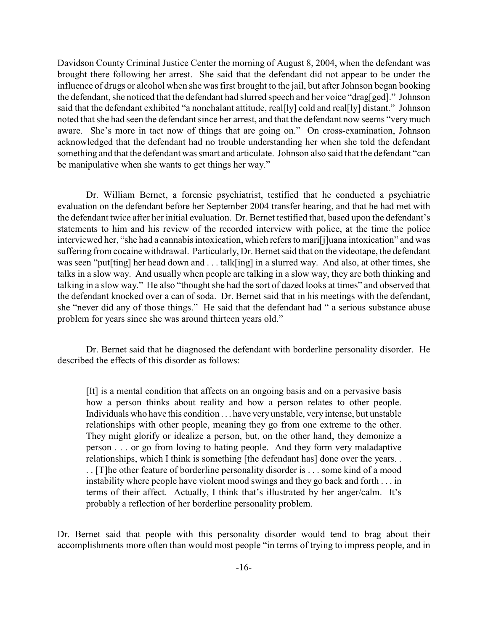Davidson County Criminal Justice Center the morning of August 8, 2004, when the defendant was brought there following her arrest. She said that the defendant did not appear to be under the influence of drugs or alcohol when she was first brought to the jail, but after Johnson began booking the defendant, she noticed that the defendant had slurred speech and her voice "drag[ged]." Johnson said that the defendant exhibited "a nonchalant attitude, real[ly] cold and real[ly] distant." Johnson noted that she had seen the defendant since her arrest, and that the defendant now seems "very much aware. She's more in tact now of things that are going on." On cross-examination, Johnson acknowledged that the defendant had no trouble understanding her when she told the defendant something and that the defendant was smart and articulate. Johnson also said that the defendant "can be manipulative when she wants to get things her way."

Dr. William Bernet, a forensic psychiatrist, testified that he conducted a psychiatric evaluation on the defendant before her September 2004 transfer hearing, and that he had met with the defendant twice after her initial evaluation. Dr. Bernet testified that, based upon the defendant's statements to him and his review of the recorded interview with police, at the time the police interviewed her, "she had a cannabis intoxication, which refers to mari[j]uana intoxication" and was suffering from cocaine withdrawal. Particularly, Dr. Bernet said that on the videotape, the defendant was seen "put[ting] her head down and . . . talk[ing] in a slurred way. And also, at other times, she talks in a slow way. And usually when people are talking in a slow way, they are both thinking and talking in a slow way." He also "thought she had the sort of dazed looks at times" and observed that the defendant knocked over a can of soda. Dr. Bernet said that in his meetings with the defendant, she "never did any of those things." He said that the defendant had " a serious substance abuse problem for years since she was around thirteen years old."

Dr. Bernet said that he diagnosed the defendant with borderline personality disorder. He described the effects of this disorder as follows:

[It] is a mental condition that affects on an ongoing basis and on a pervasive basis how a person thinks about reality and how a person relates to other people. Individuals who have this condition . . . have very unstable, very intense, but unstable relationships with other people, meaning they go from one extreme to the other. They might glorify or idealize a person, but, on the other hand, they demonize a person . . . or go from loving to hating people. And they form very maladaptive relationships, which I think is something [the defendant has] done over the years. . . . [T]he other feature of borderline personality disorder is . . . some kind of a mood instability where people have violent mood swings and they go back and forth . . . in terms of their affect. Actually, I think that's illustrated by her anger/calm. It's probably a reflection of her borderline personality problem.

Dr. Bernet said that people with this personality disorder would tend to brag about their accomplishments more often than would most people "in terms of trying to impress people, and in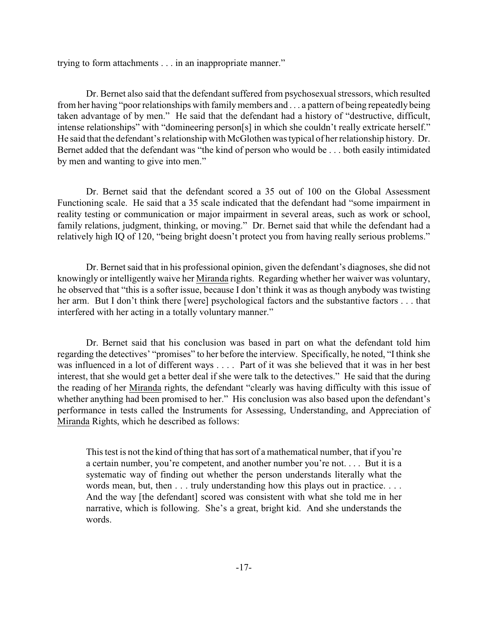trying to form attachments . . . in an inappropriate manner."

Dr. Bernet also said that the defendant suffered from psychosexual stressors, which resulted from her having "poor relationships with family members and . . . a pattern of being repeatedly being taken advantage of by men." He said that the defendant had a history of "destructive, difficult, intense relationships" with "domineering person[s] in which she couldn't really extricate herself." He said that the defendant's relationship with McGlothen was typical of her relationship history. Dr. Bernet added that the defendant was "the kind of person who would be . . . both easily intimidated by men and wanting to give into men."

Dr. Bernet said that the defendant scored a 35 out of 100 on the Global Assessment Functioning scale. He said that a 35 scale indicated that the defendant had "some impairment in reality testing or communication or major impairment in several areas, such as work or school, family relations, judgment, thinking, or moving." Dr. Bernet said that while the defendant had a relatively high IQ of 120, "being bright doesn't protect you from having really serious problems."

Dr. Bernet said that in his professional opinion, given the defendant's diagnoses, she did not knowingly or intelligently waive her Miranda rights. Regarding whether her waiver was voluntary, he observed that "this is a softer issue, because I don't think it was as though anybody was twisting her arm. But I don't think there [were] psychological factors and the substantive factors . . . that interfered with her acting in a totally voluntary manner."

Dr. Bernet said that his conclusion was based in part on what the defendant told him regarding the detectives' "promises" to her before the interview. Specifically, he noted, "I think she was influenced in a lot of different ways . . . . Part of it was she believed that it was in her best interest, that she would get a better deal if she were talk to the detectives." He said that the during the reading of her Miranda rights, the defendant "clearly was having difficulty with this issue of whether anything had been promised to her." His conclusion was also based upon the defendant's performance in tests called the Instruments for Assessing, Understanding, and Appreciation of Miranda Rights, which he described as follows:

This test is not the kind of thing that has sort of a mathematical number, that if you're a certain number, you're competent, and another number you're not. . . . But it is a systematic way of finding out whether the person understands literally what the words mean, but, then . . . truly understanding how this plays out in practice. . . . And the way [the defendant] scored was consistent with what she told me in her narrative, which is following. She's a great, bright kid. And she understands the words.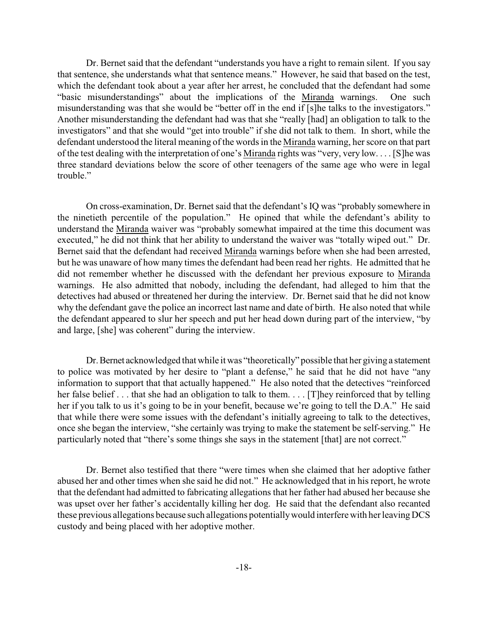Dr. Bernet said that the defendant "understands you have a right to remain silent. If you say that sentence, she understands what that sentence means." However, he said that based on the test, which the defendant took about a year after her arrest, he concluded that the defendant had some "basic misunderstandings" about the implications of the Miranda warnings. One such misunderstanding was that she would be "better off in the end if [s]he talks to the investigators." Another misunderstanding the defendant had was that she "really [had] an obligation to talk to the investigators" and that she would "get into trouble" if she did not talk to them. In short, while the defendant understood the literal meaning of the words in the Miranda warning, her score on that part of the test dealing with the interpretation of one's Miranda rights was "very, very low. . . . [S]he was three standard deviations below the score of other teenagers of the same age who were in legal trouble."

On cross-examination, Dr. Bernet said that the defendant's IQ was "probably somewhere in the ninetieth percentile of the population." He opined that while the defendant's ability to understand the Miranda waiver was "probably somewhat impaired at the time this document was executed," he did not think that her ability to understand the waiver was "totally wiped out." Dr. Bernet said that the defendant had received Miranda warnings before when she had been arrested, but he was unaware of how many times the defendant had been read her rights. He admitted that he did not remember whether he discussed with the defendant her previous exposure to Miranda warnings. He also admitted that nobody, including the defendant, had alleged to him that the detectives had abused or threatened her during the interview. Dr. Bernet said that he did not know why the defendant gave the police an incorrect last name and date of birth. He also noted that while the defendant appeared to slur her speech and put her head down during part of the interview, "by and large, [she] was coherent" during the interview.

Dr. Bernet acknowledged that while it was "theoretically" possible that her giving a statement to police was motivated by her desire to "plant a defense," he said that he did not have "any information to support that that actually happened." He also noted that the detectives "reinforced her false belief . . . that she had an obligation to talk to them. . . . [T] hey reinforced that by telling her if you talk to us it's going to be in your benefit, because we're going to tell the D.A." He said that while there were some issues with the defendant's initially agreeing to talk to the detectives, once she began the interview, "she certainly was trying to make the statement be self-serving." He particularly noted that "there's some things she says in the statement [that] are not correct."

Dr. Bernet also testified that there "were times when she claimed that her adoptive father abused her and other times when she said he did not." He acknowledged that in his report, he wrote that the defendant had admitted to fabricating allegations that her father had abused her because she was upset over her father's accidentally killing her dog. He said that the defendant also recanted these previous allegations because such allegations potentiallywould interferewith her leaving DCS custody and being placed with her adoptive mother.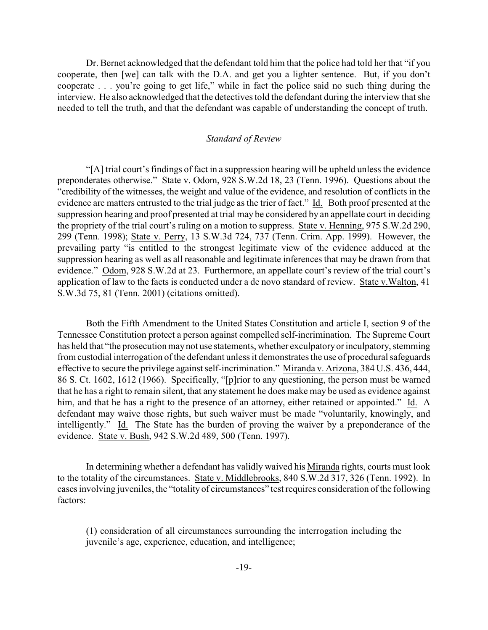Dr. Bernet acknowledged that the defendant told him that the police had told her that "if you cooperate, then [we] can talk with the D.A. and get you a lighter sentence. But, if you don't cooperate . . . you're going to get life," while in fact the police said no such thing during the interview. He also acknowledged that the detectives told the defendant during the interview that she needed to tell the truth, and that the defendant was capable of understanding the concept of truth.

#### *Standard of Review*

"[A] trial court's findings of fact in a suppression hearing will be upheld unless the evidence preponderates otherwise." State v. Odom, 928 S.W.2d 18, 23 (Tenn. 1996). Questions about the "credibility of the witnesses, the weight and value of the evidence, and resolution of conflicts in the evidence are matters entrusted to the trial judge as the trier of fact." Id. Both proof presented at the suppression hearing and proof presented at trial may be considered by an appellate court in deciding the propriety of the trial court's ruling on a motion to suppress. State v. Henning, 975 S.W.2d 290, 299 (Tenn. 1998); State v. Perry, 13 S.W.3d 724, 737 (Tenn. Crim. App. 1999). However, the prevailing party "is entitled to the strongest legitimate view of the evidence adduced at the suppression hearing as well as all reasonable and legitimate inferences that may be drawn from that evidence." Odom, 928 S.W.2d at 23. Furthermore, an appellate court's review of the trial court's application of law to the facts is conducted under a de novo standard of review. State v.Walton, 41 S.W.3d 75, 81 (Tenn. 2001) (citations omitted).

Both the Fifth Amendment to the United States Constitution and article I, section 9 of the Tennessee Constitution protect a person against compelled self-incrimination. The Supreme Court has held that "the prosecution may not use statements, whether exculpatory or inculpatory, stemming from custodial interrogation of the defendant unless it demonstrates the use of procedural safeguards effective to secure the privilege against self-incrimination." Miranda v. Arizona, 384 U.S. 436, 444, 86 S. Ct. 1602, 1612 (1966). Specifically, "[p]rior to any questioning, the person must be warned that he has a right to remain silent, that any statement he does make may be used as evidence against him, and that he has a right to the presence of an attorney, either retained or appointed." Id. A defendant may waive those rights, but such waiver must be made "voluntarily, knowingly, and intelligently." Id. The State has the burden of proving the waiver by a preponderance of the evidence. State v. Bush, 942 S.W.2d 489, 500 (Tenn. 1997).

In determining whether a defendant has validly waived his Miranda rights, courts must look to the totality of the circumstances. State v. Middlebrooks, 840 S.W.2d 317, 326 (Tenn. 1992). In cases involving juveniles, the "totality of circumstances" test requires consideration of the following factors:

(1) consideration of all circumstances surrounding the interrogation including the juvenile's age, experience, education, and intelligence;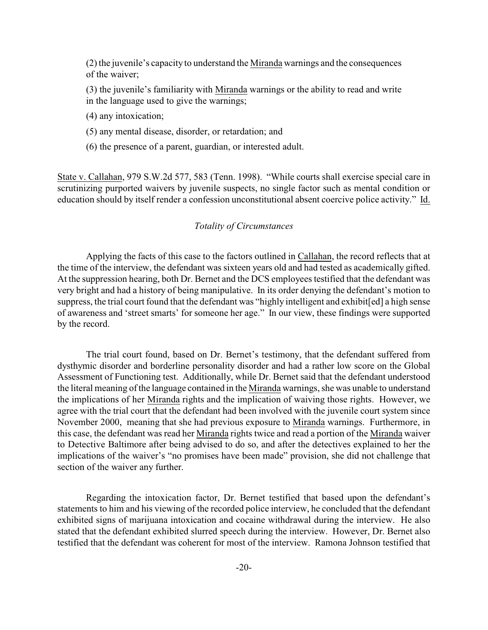(2) the juvenile's capacity to understand the Miranda warnings and the consequences of the waiver;

(3) the juvenile's familiarity with Miranda warnings or the ability to read and write in the language used to give the warnings;

(4) any intoxication;

- (5) any mental disease, disorder, or retardation; and
- (6) the presence of a parent, guardian, or interested adult.

State v. Callahan, 979 S.W.2d 577, 583 (Tenn. 1998). "While courts shall exercise special care in scrutinizing purported waivers by juvenile suspects, no single factor such as mental condition or education should by itself render a confession unconstitutional absent coercive police activity." Id.

# *Totality of Circumstances*

Applying the facts of this case to the factors outlined in Callahan, the record reflects that at the time of the interview, the defendant was sixteen years old and had tested as academically gifted. At the suppression hearing, both Dr. Bernet and the DCS employees testified that the defendant was very bright and had a history of being manipulative. In its order denying the defendant's motion to suppress, the trial court found that the defendant was "highly intelligent and exhibit[ed] a high sense of awareness and 'street smarts' for someone her age." In our view, these findings were supported by the record.

The trial court found, based on Dr. Bernet's testimony, that the defendant suffered from dysthymic disorder and borderline personality disorder and had a rather low score on the Global Assessment of Functioning test. Additionally, while Dr. Bernet said that the defendant understood the literal meaning of the language contained in the Miranda warnings, she was unable to understand the implications of her Miranda rights and the implication of waiving those rights. However, we agree with the trial court that the defendant had been involved with the juvenile court system since November 2000, meaning that she had previous exposure to Miranda warnings. Furthermore, in this case, the defendant was read her Miranda rights twice and read a portion of the Miranda waiver to Detective Baltimore after being advised to do so, and after the detectives explained to her the implications of the waiver's "no promises have been made" provision, she did not challenge that section of the waiver any further.

Regarding the intoxication factor, Dr. Bernet testified that based upon the defendant's statements to him and his viewing of the recorded police interview, he concluded that the defendant exhibited signs of marijuana intoxication and cocaine withdrawal during the interview. He also stated that the defendant exhibited slurred speech during the interview. However, Dr. Bernet also testified that the defendant was coherent for most of the interview. Ramona Johnson testified that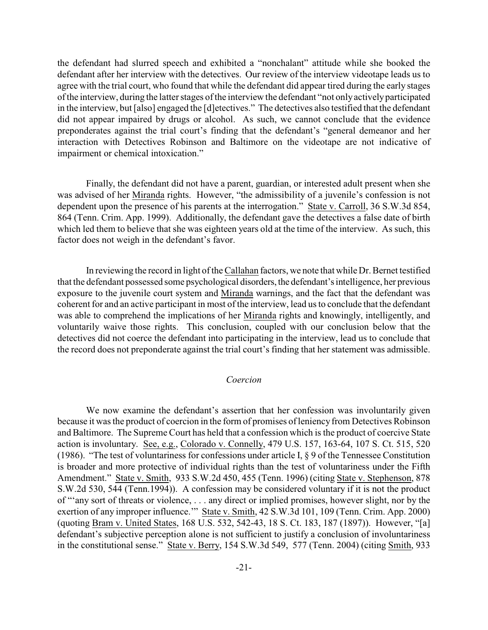the defendant had slurred speech and exhibited a "nonchalant" attitude while she booked the defendant after her interview with the detectives. Our review of the interview videotape leads us to agree with the trial court, who found that while the defendant did appear tired during the early stages of the interview, during the latter stages of the interview the defendant "not only actively participated in the interview, but [also] engaged the [d]etectives." The detectives also testified that the defendant did not appear impaired by drugs or alcohol. As such, we cannot conclude that the evidence preponderates against the trial court's finding that the defendant's "general demeanor and her interaction with Detectives Robinson and Baltimore on the videotape are not indicative of impairment or chemical intoxication."

Finally, the defendant did not have a parent, guardian, or interested adult present when she was advised of her Miranda rights. However, "the admissibility of a juvenile's confession is not dependent upon the presence of his parents at the interrogation." State v. Carroll, 36 S.W.3d 854, 864 (Tenn. Crim. App. 1999). Additionally, the defendant gave the detectives a false date of birth which led them to believe that she was eighteen years old at the time of the interview. As such, this factor does not weigh in the defendant's favor.

In reviewing the record in light of the Callahan factors, we note that while Dr. Bernet testified that the defendant possessed some psychological disorders, the defendant's intelligence, her previous exposure to the juvenile court system and Miranda warnings, and the fact that the defendant was coherent for and an active participant in most of the interview, lead us to conclude that the defendant was able to comprehend the implications of her Miranda rights and knowingly, intelligently, and voluntarily waive those rights. This conclusion, coupled with our conclusion below that the detectives did not coerce the defendant into participating in the interview, lead us to conclude that the record does not preponderate against the trial court's finding that her statement was admissible.

## *Coercion*

We now examine the defendant's assertion that her confession was involuntarily given because it was the product of coercion in the form of promises of leniency from Detectives Robinson and Baltimore. The Supreme Court has held that a confession which is the product of coercive State action is involuntary. See, e.g., Colorado v. Connelly, 479 U.S. 157, 163-64, 107 S. Ct. 515, 520 (1986). "The test of voluntariness for confessions under article I, § 9 of the Tennessee Constitution is broader and more protective of individual rights than the test of voluntariness under the Fifth Amendment." State v. Smith, 933 S.W.2d 450, 455 (Tenn. 1996) (citing State v. Stephenson, 878 S.W.2d 530, 544 (Tenn.1994)). A confession may be considered voluntary if it is not the product of "'any sort of threats or violence, . . . any direct or implied promises, however slight, nor by the exertion of any improper influence.'" State v. Smith, 42 S.W.3d 101, 109 (Tenn. Crim. App. 2000) (quoting Bram v. United States, 168 U.S. 532, 542-43, 18 S. Ct. 183, 187 (1897)). However, "[a] defendant's subjective perception alone is not sufficient to justify a conclusion of involuntariness in the constitutional sense." State v. Berry, 154 S.W.3d 549, 577 (Tenn. 2004) (citing Smith, 933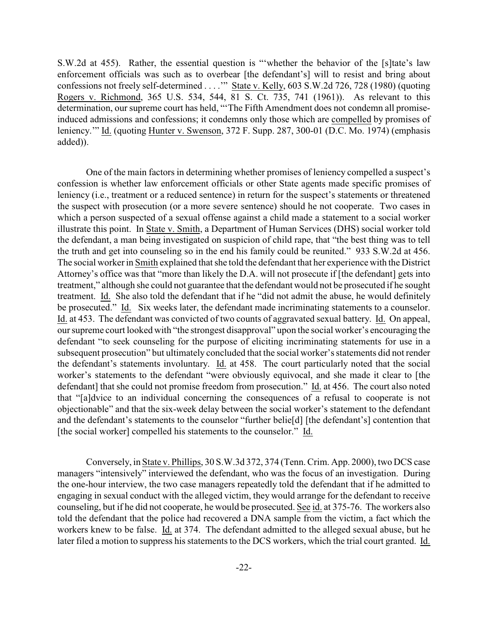S.W.2d at 455). Rather, the essential question is "'whether the behavior of the [s]tate's law enforcement officials was such as to overbear [the defendant's] will to resist and bring about confessions not freely self-determined . . . .'" State v. Kelly, 603 S.W.2d 726, 728 (1980) (quoting Rogers v. Richmond, 365 U.S. 534, 544, 81 S. Ct. 735, 741 (1961)). As relevant to this determination, our supreme court has held, "'The Fifth Amendment does not condemn all promiseinduced admissions and confessions; it condemns only those which are compelled by promises of leniency.'" Id. (quoting Hunter v. Swenson, 372 F. Supp. 287, 300-01 (D.C. Mo. 1974) (emphasis added)).

One of the main factors in determining whether promises of leniency compelled a suspect's confession is whether law enforcement officials or other State agents made specific promises of leniency (i.e., treatment or a reduced sentence) in return for the suspect's statements or threatened the suspect with prosecution (or a more severe sentence) should he not cooperate. Two cases in which a person suspected of a sexual offense against a child made a statement to a social worker illustrate this point. In State v. Smith, a Department of Human Services (DHS) social worker told the defendant, a man being investigated on suspicion of child rape, that "the best thing was to tell the truth and get into counseling so in the end his family could be reunited." 933 S.W.2d at 456. The social worker in Smith explained that she told the defendant that her experience with the District Attorney's office was that "more than likely the D.A. will not prosecute if [the defendant] gets into treatment," although she could not guarantee that the defendant would not be prosecuted if he sought treatment. Id. She also told the defendant that if he "did not admit the abuse, he would definitely be prosecuted." Id. Six weeks later, the defendant made incriminating statements to a counselor. Id. at 453. The defendant was convicted of two counts of aggravated sexual battery. Id. On appeal, our supreme court looked with "the strongest disapproval" upon the social worker's encouraging the defendant "to seek counseling for the purpose of eliciting incriminating statements for use in a subsequent prosecution" but ultimately concluded that the social worker's statements did not render the defendant's statements involuntary. Id. at 458. The court particularly noted that the social worker's statements to the defendant "were obviously equivocal, and she made it clear to [the defendant] that she could not promise freedom from prosecution." Id. at 456. The court also noted that "[a]dvice to an individual concerning the consequences of a refusal to cooperate is not objectionable" and that the six-week delay between the social worker's statement to the defendant and the defendant's statements to the counselor "further belie[d] [the defendant's] contention that [the social worker] compelled his statements to the counselor." Id.

Conversely, in State v. Phillips, 30 S.W.3d 372, 374 (Tenn. Crim. App. 2000), two DCS case managers "intensively" interviewed the defendant, who was the focus of an investigation. During the one-hour interview, the two case managers repeatedly told the defendant that if he admitted to engaging in sexual conduct with the alleged victim, they would arrange for the defendant to receive counseling, but if he did not cooperate, he would be prosecuted. See id. at 375-76. The workers also told the defendant that the police had recovered a DNA sample from the victim, a fact which the workers knew to be false. Id. at 374. The defendant admitted to the alleged sexual abuse, but he later filed a motion to suppress his statements to the DCS workers, which the trial court granted. Id.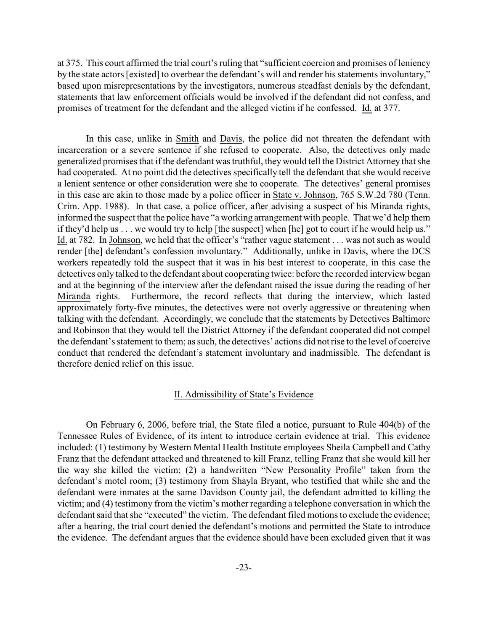at 375. This court affirmed the trial court's ruling that "sufficient coercion and promises of leniency by the state actors [existed] to overbear the defendant's will and render his statements involuntary," based upon misrepresentations by the investigators, numerous steadfast denials by the defendant, statements that law enforcement officials would be involved if the defendant did not confess, and promises of treatment for the defendant and the alleged victim if he confessed. Id. at 377.

In this case, unlike in Smith and Davis, the police did not threaten the defendant with incarceration or a severe sentence if she refused to cooperate. Also, the detectives only made generalized promises that if the defendant was truthful, they would tell the District Attorney that she had cooperated. At no point did the detectives specifically tell the defendant that she would receive a lenient sentence or other consideration were she to cooperate. The detectives' general promises in this case are akin to those made by a police officer in State v. Johnson, 765 S.W.2d 780 (Tenn. Crim. App. 1988). In that case, a police officer, after advising a suspect of his Miranda rights, informed the suspect that the police have "a working arrangement with people. That we'd help them if they'd help us . . . we would try to help [the suspect] when [he] got to court if he would help us." Id. at 782. In Johnson, we held that the officer's "rather vague statement . . . was not such as would render [the] defendant's confession involuntary." Additionally, unlike in Davis, where the DCS workers repeatedly told the suspect that it was in his best interest to cooperate, in this case the detectives only talked to the defendant about cooperating twice: before the recorded interview began and at the beginning of the interview after the defendant raised the issue during the reading of her Miranda rights. Furthermore, the record reflects that during the interview, which lasted approximately forty-five minutes, the detectives were not overly aggressive or threatening when talking with the defendant. Accordingly, we conclude that the statements by Detectives Baltimore and Robinson that they would tell the District Attorney if the defendant cooperated did not compel the defendant's statement to them; as such, the detectives' actions did not rise to the level of coercive conduct that rendered the defendant's statement involuntary and inadmissible. The defendant is therefore denied relief on this issue.

#### II. Admissibility of State's Evidence

On February 6, 2006, before trial, the State filed a notice, pursuant to Rule 404(b) of the Tennessee Rules of Evidence, of its intent to introduce certain evidence at trial. This evidence included: (1) testimony by Western Mental Health Institute employees Sheila Campbell and Cathy Franz that the defendant attacked and threatened to kill Franz, telling Franz that she would kill her the way she killed the victim; (2) a handwritten "New Personality Profile" taken from the defendant's motel room; (3) testimony from Shayla Bryant, who testified that while she and the defendant were inmates at the same Davidson County jail, the defendant admitted to killing the victim; and (4) testimony from the victim's mother regarding a telephone conversation in which the defendant said that she "executed" the victim. The defendant filed motions to exclude the evidence; after a hearing, the trial court denied the defendant's motions and permitted the State to introduce the evidence. The defendant argues that the evidence should have been excluded given that it was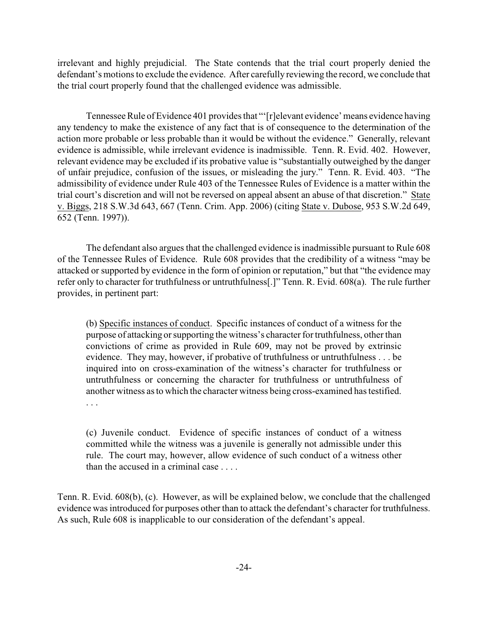irrelevant and highly prejudicial. The State contends that the trial court properly denied the defendant's motions to exclude the evidence. After carefully reviewing the record, we conclude that the trial court properly found that the challenged evidence was admissible.

Tennessee Rule of Evidence 401 provides that "'[r]elevant evidence' means evidence having any tendency to make the existence of any fact that is of consequence to the determination of the action more probable or less probable than it would be without the evidence." Generally, relevant evidence is admissible, while irrelevant evidence is inadmissible. Tenn. R. Evid. 402. However, relevant evidence may be excluded if its probative value is "substantially outweighed by the danger of unfair prejudice, confusion of the issues, or misleading the jury." Tenn. R. Evid. 403. "The admissibility of evidence under Rule 403 of the Tennessee Rules of Evidence is a matter within the trial court's discretion and will not be reversed on appeal absent an abuse of that discretion." State v. Biggs, 218 S.W.3d 643, 667 (Tenn. Crim. App. 2006) (citing State v. Dubose, 953 S.W.2d 649, 652 (Tenn. 1997)).

The defendant also argues that the challenged evidence is inadmissible pursuant to Rule 608 of the Tennessee Rules of Evidence. Rule 608 provides that the credibility of a witness "may be attacked or supported by evidence in the form of opinion or reputation," but that "the evidence may refer only to character for truthfulness or untruthfulness[.]" Tenn. R. Evid. 608(a). The rule further provides, in pertinent part:

(b) Specific instances of conduct. Specific instances of conduct of a witness for the purpose of attacking or supporting the witness's character for truthfulness, other than convictions of crime as provided in Rule 609, may not be proved by extrinsic evidence. They may, however, if probative of truthfulness or untruthfulness . . . be inquired into on cross-examination of the witness's character for truthfulness or untruthfulness or concerning the character for truthfulness or untruthfulness of another witness as to which the character witness being cross-examined has testified. . . .

(c) Juvenile conduct. Evidence of specific instances of conduct of a witness committed while the witness was a juvenile is generally not admissible under this rule. The court may, however, allow evidence of such conduct of a witness other than the accused in a criminal case . . . .

Tenn. R. Evid. 608(b), (c). However, as will be explained below, we conclude that the challenged evidence was introduced for purposes other than to attack the defendant's character for truthfulness. As such, Rule 608 is inapplicable to our consideration of the defendant's appeal.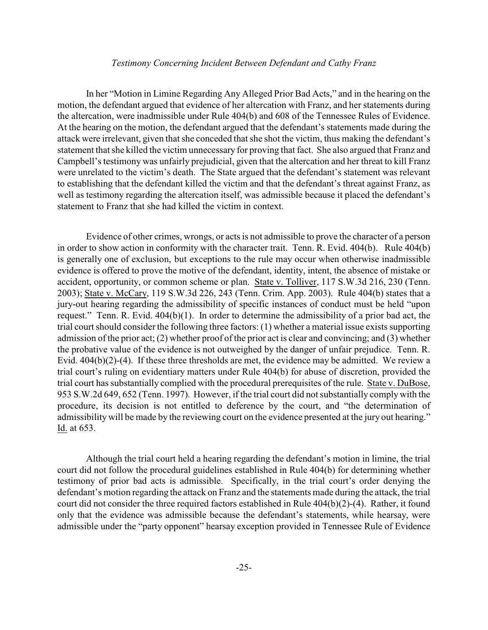### *Testimony Concerning Incident Between Defendant and Cathy Franz*

In her "Motion in Limine Regarding Any Alleged Prior Bad Acts," and in the hearing on the motion, the defendant argued that evidence of her altercation with Franz, and her statements during the altercation, were inadmissible under Rule 404(b) and 608 of the Tennessee Rules of Evidence. At the hearing on the motion, the defendant argued that the defendant's statements made during the attack were irrelevant, given that she conceded that she shot the victim, thus making the defendant's statement that she killed the victim unnecessary for proving that fact. She also argued that Franz and Campbell's testimony was unfairly prejudicial, given that the altercation and her threat to kill Franz were unrelated to the victim's death. The State argued that the defendant's statement was relevant to establishing that the defendant killed the victim and that the defendant's threat against Franz, as well as testimony regarding the altercation itself, was admissible because it placed the defendant's statement to Franz that she had killed the victim in context.

Evidence of other crimes, wrongs, or acts is not admissible to prove the character of a person in order to show action in conformity with the character trait. Tenn. R. Evid. 404(b). Rule 404(b) is generally one of exclusion, but exceptions to the rule may occur when otherwise inadmissible evidence is offered to prove the motive of the defendant, identity, intent, the absence of mistake or accident, opportunity, or common scheme or plan. State v. Tolliver, 117 S.W.3d 216, 230 (Tenn. 2003); State v. McCary, 119 S.W.3d 226, 243 (Tenn. Crim. App. 2003). Rule 404(b) states that a jury-out hearing regarding the admissibility of specific instances of conduct must be held "upon request." Tenn. R. Evid. 404(b)(1). In order to determine the admissibility of a prior bad act, the trial court should consider the following three factors: (1) whether a material issue exists supporting admission of the prior act; (2) whether proof of the prior act is clear and convincing; and (3) whether the probative value of the evidence is not outweighed by the danger of unfair prejudice. Tenn. R. Evid. 404(b)(2)-(4). If these three thresholds are met, the evidence may be admitted. We review a trial court's ruling on evidentiary matters under Rule 404(b) for abuse of discretion, provided the trial court has substantially complied with the procedural prerequisites of the rule. State v. DuBose, 953 S.W.2d 649, 652 (Tenn. 1997). However, if the trial court did not substantially comply with the procedure, its decision is not entitled to deference by the court, and "the determination of admissibility will be made by the reviewing court on the evidence presented at the jury out hearing." Id. at 653.

Although the trial court held a hearing regarding the defendant's motion in limine, the trial court did not follow the procedural guidelines established in Rule 404(b) for determining whether testimony of prior bad acts is admissible. Specifically, in the trial court's order denying the defendant's motion regarding the attack on Franz and the statements made during the attack, the trial court did not consider the three required factors established in Rule 404(b)(2)-(4). Rather, it found only that the evidence was admissible because the defendant's statements, while hearsay, were admissible under the "party opponent" hearsay exception provided in Tennessee Rule of Evidence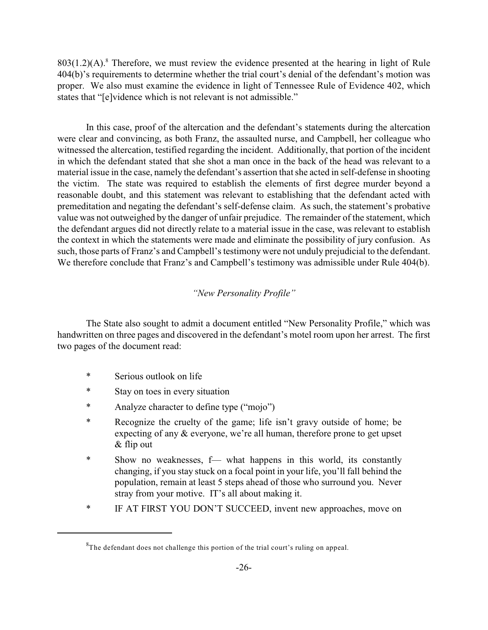$803(1.2)(A)$ .<sup>8</sup> Therefore, we must review the evidence presented at the hearing in light of Rule 404(b)'s requirements to determine whether the trial court's denial of the defendant's motion was proper. We also must examine the evidence in light of Tennessee Rule of Evidence 402, which states that "[e]vidence which is not relevant is not admissible."

In this case, proof of the altercation and the defendant's statements during the altercation were clear and convincing, as both Franz, the assaulted nurse, and Campbell, her colleague who witnessed the altercation, testified regarding the incident. Additionally, that portion of the incident in which the defendant stated that she shot a man once in the back of the head was relevant to a material issue in the case, namely the defendant's assertion that she acted in self-defense in shooting the victim. The state was required to establish the elements of first degree murder beyond a reasonable doubt, and this statement was relevant to establishing that the defendant acted with premeditation and negating the defendant's self-defense claim. As such, the statement's probative value was not outweighed by the danger of unfair prejudice. The remainder of the statement, which the defendant argues did not directly relate to a material issue in the case, was relevant to establish the context in which the statements were made and eliminate the possibility of jury confusion. As such, those parts of Franz's and Campbell's testimony were not unduly prejudicial to the defendant. We therefore conclude that Franz's and Campbell's testimony was admissible under Rule 404(b).

# *"New Personality Profile"*

The State also sought to admit a document entitled "New Personality Profile," which was handwritten on three pages and discovered in the defendant's motel room upon her arrest. The first two pages of the document read:

- \* Serious outlook on life
- \* Stay on toes in every situation
- \* Analyze character to define type ("mojo")
- \* Recognize the cruelty of the game; life isn't gravy outside of home; be expecting of any & everyone, we're all human, therefore prone to get upset & flip out
- \* Show no weaknesses, f— what happens in this world, its constantly changing, if you stay stuck on a focal point in your life, you'll fall behind the population, remain at least 5 steps ahead of those who surround you. Never stray from your motive. IT's all about making it.
- \* IF AT FIRST YOU DON'T SUCCEED, invent new approaches, move on

 ${}^{8}$ The defendant does not challenge this portion of the trial court's ruling on appeal.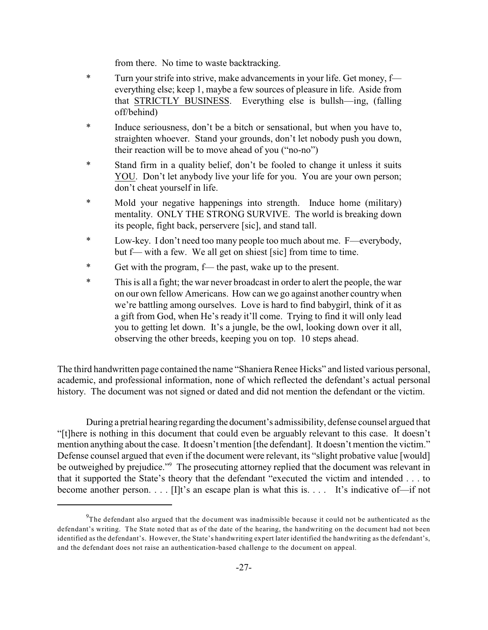from there. No time to waste backtracking.

- \* Turn your strife into strive, make advancements in your life. Get money, f everything else; keep 1, maybe a few sources of pleasure in life. Aside from that STRICTLY BUSINESS. Everything else is bullsh—ing, (falling off/behind)
- \* Induce seriousness, don't be a bitch or sensational, but when you have to, straighten whoever. Stand your grounds, don't let nobody push you down, their reaction will be to move ahead of you ("no-no")
- Stand firm in a quality belief, don't be fooled to change it unless it suits YOU. Don't let anybody live your life for you. You are your own person; don't cheat yourself in life.
- \* Mold your negative happenings into strength. Induce home (military) mentality. ONLY THE STRONG SURVIVE. The world is breaking down its people, fight back, perservere [sic], and stand tall.
- \* Low-key. I don't need too many people too much about me. F—everybody, but f— with a few. We all get on shiest [sic] from time to time.
- \* Get with the program, f— the past, wake up to the present.
- \* This is all a fight; the war never broadcast in order to alert the people, the war on our own fellow Americans. How can we go against another country when we're battling among ourselves. Love is hard to find babygirl, think of it as a gift from God, when He's ready it'll come. Trying to find it will only lead you to getting let down. It's a jungle, be the owl, looking down over it all, observing the other breeds, keeping you on top. 10 steps ahead.

The third handwritten page contained the name "Shaniera Renee Hicks" and listed various personal, academic, and professional information, none of which reflected the defendant's actual personal history. The document was not signed or dated and did not mention the defendant or the victim.

During a pretrial hearing regarding the document's admissibility, defense counsel argued that "[t]here is nothing in this document that could even be arguably relevant to this case. It doesn't mention anything about the case. It doesn't mention [the defendant]. It doesn't mention the victim." Defense counsel argued that even if the document were relevant, its "slight probative value [would] be outweighed by prejudice."<sup>9</sup> The prosecuting attorney replied that the document was relevant in that it supported the State's theory that the defendant "executed the victim and intended . . . to become another person. . . . [I]t's an escape plan is what this is. . . . It's indicative of—if not

 $9<sup>9</sup>$ The defendant also argued that the document was inadmissible because it could not be authenticated as the defendant's writing. The State noted that as of the date of the hearing, the handwriting on the document had not been identified as the defendant's. However, the State's handwriting expert later identified the handwriting as the defendant's, and the defendant does not raise an authentication-based challenge to the document on appeal.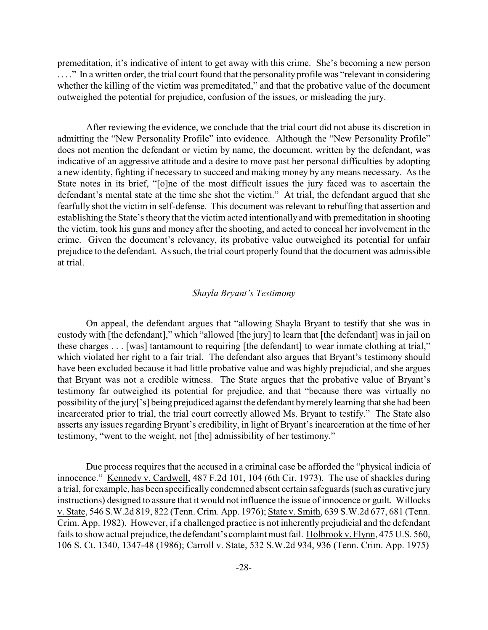premeditation, it's indicative of intent to get away with this crime. She's becoming a new person . . . ." In a written order, the trial court found that the personality profile was "relevant in considering whether the killing of the victim was premeditated," and that the probative value of the document outweighed the potential for prejudice, confusion of the issues, or misleading the jury.

After reviewing the evidence, we conclude that the trial court did not abuse its discretion in admitting the "New Personality Profile" into evidence. Although the "New Personality Profile" does not mention the defendant or victim by name, the document, written by the defendant, was indicative of an aggressive attitude and a desire to move past her personal difficulties by adopting a new identity, fighting if necessary to succeed and making money by any means necessary. As the State notes in its brief, "[o]ne of the most difficult issues the jury faced was to ascertain the defendant's mental state at the time she shot the victim." At trial, the defendant argued that she fearfully shot the victim in self-defense. This document was relevant to rebuffing that assertion and establishing the State's theory that the victim acted intentionally and with premeditation in shooting the victim, took his guns and money after the shooting, and acted to conceal her involvement in the crime. Given the document's relevancy, its probative value outweighed its potential for unfair prejudice to the defendant. As such, the trial court properly found that the document was admissible at trial.

## *Shayla Bryant's Testimony*

On appeal, the defendant argues that "allowing Shayla Bryant to testify that she was in custody with [the defendant]," which "allowed [the jury] to learn that [the defendant] was in jail on these charges . . . [was] tantamount to requiring [the defendant] to wear inmate clothing at trial," which violated her right to a fair trial. The defendant also argues that Bryant's testimony should have been excluded because it had little probative value and was highly prejudicial, and she argues that Bryant was not a credible witness. The State argues that the probative value of Bryant's testimony far outweighed its potential for prejudice, and that "because there was virtually no possibility of the jury['s] being prejudiced against the defendant bymerelylearning that she had been incarcerated prior to trial, the trial court correctly allowed Ms. Bryant to testify." The State also asserts any issues regarding Bryant's credibility, in light of Bryant's incarceration at the time of her testimony, "went to the weight, not [the] admissibility of her testimony."

Due process requires that the accused in a criminal case be afforded the "physical indicia of innocence." Kennedy v. Cardwell, 487 F.2d 101, 104 (6th Cir. 1973). The use of shackles during a trial, for example, has been specifically condemned absent certain safeguards (such as curative jury instructions) designed to assure that it would not influence the issue of innocence or guilt. Willocks v. State, 546 S.W.2d 819, 822 (Tenn. Crim. App. 1976); State v. Smith, 639 S.W.2d 677, 681 (Tenn. Crim. App. 1982). However, if a challenged practice is not inherently prejudicial and the defendant fails to show actual prejudice, the defendant's complaint must fail. Holbrook v. Flynn, 475 U.S. 560, 106 S. Ct. 1340, 1347-48 (1986); Carroll v. State, 532 S.W.2d 934, 936 (Tenn. Crim. App. 1975)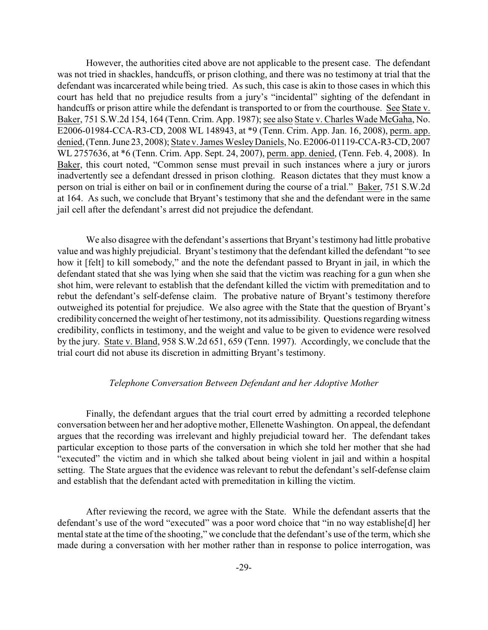However, the authorities cited above are not applicable to the present case. The defendant was not tried in shackles, handcuffs, or prison clothing, and there was no testimony at trial that the defendant was incarcerated while being tried. As such, this case is akin to those cases in which this court has held that no prejudice results from a jury's "incidental" sighting of the defendant in handcuffs or prison attire while the defendant is transported to or from the courthouse. See State v. Baker, 751 S.W.2d 154, 164 (Tenn. Crim. App. 1987); see also State v. Charles Wade McGaha, No. E2006-01984-CCA-R3-CD, 2008 WL 148943, at \*9 (Tenn. Crim. App. Jan. 16, 2008), perm. app. denied, (Tenn. June 23, 2008); State v. James Wesley Daniels, No. E2006-01119-CCA-R3-CD, 2007 WL 2757636, at \*6 (Tenn. Crim. App. Sept. 24, 2007), perm. app. denied, (Tenn. Feb. 4, 2008). In Baker, this court noted, "Common sense must prevail in such instances where a jury or jurors inadvertently see a defendant dressed in prison clothing. Reason dictates that they must know a person on trial is either on bail or in confinement during the course of a trial." Baker, 751 S.W.2d at 164. As such, we conclude that Bryant's testimony that she and the defendant were in the same jail cell after the defendant's arrest did not prejudice the defendant.

We also disagree with the defendant's assertions that Bryant's testimony had little probative value and was highly prejudicial. Bryant's testimony that the defendant killed the defendant "to see how it [felt] to kill somebody," and the note the defendant passed to Bryant in jail, in which the defendant stated that she was lying when she said that the victim was reaching for a gun when she shot him, were relevant to establish that the defendant killed the victim with premeditation and to rebut the defendant's self-defense claim. The probative nature of Bryant's testimony therefore outweighed its potential for prejudice. We also agree with the State that the question of Bryant's credibility concerned the weight of her testimony, not its admissibility. Questions regarding witness credibility, conflicts in testimony, and the weight and value to be given to evidence were resolved by the jury. State v. Bland, 958 S.W.2d 651, 659 (Tenn. 1997). Accordingly, we conclude that the trial court did not abuse its discretion in admitting Bryant's testimony.

## *Telephone Conversation Between Defendant and her Adoptive Mother*

Finally, the defendant argues that the trial court erred by admitting a recorded telephone conversation between her and her adoptive mother, Ellenette Washington. On appeal, the defendant argues that the recording was irrelevant and highly prejudicial toward her. The defendant takes particular exception to those parts of the conversation in which she told her mother that she had "executed" the victim and in which she talked about being violent in jail and within a hospital setting. The State argues that the evidence was relevant to rebut the defendant's self-defense claim and establish that the defendant acted with premeditation in killing the victim.

After reviewing the record, we agree with the State. While the defendant asserts that the defendant's use of the word "executed" was a poor word choice that "in no way establishe[d] her mental state at the time of the shooting," we conclude that the defendant's use of the term, which she made during a conversation with her mother rather than in response to police interrogation, was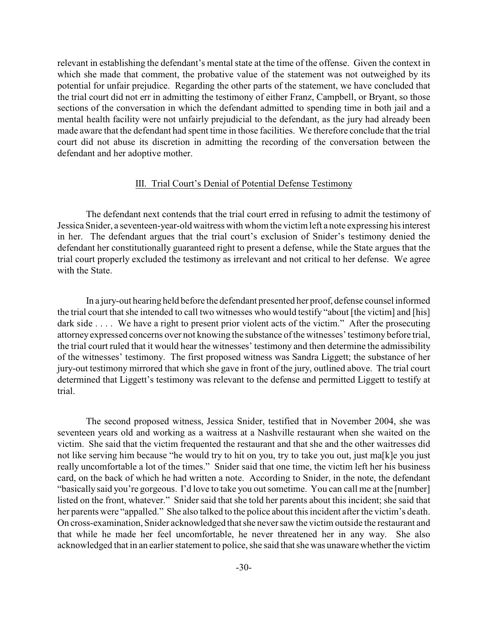relevant in establishing the defendant's mental state at the time of the offense. Given the context in which she made that comment, the probative value of the statement was not outweighed by its potential for unfair prejudice. Regarding the other parts of the statement, we have concluded that the trial court did not err in admitting the testimony of either Franz, Campbell, or Bryant, so those sections of the conversation in which the defendant admitted to spending time in both jail and a mental health facility were not unfairly prejudicial to the defendant, as the jury had already been made aware that the defendant had spent time in those facilities. We therefore conclude that the trial court did not abuse its discretion in admitting the recording of the conversation between the defendant and her adoptive mother.

#### III. Trial Court's Denial of Potential Defense Testimony

The defendant next contends that the trial court erred in refusing to admit the testimony of Jessica Snider, a seventeen-year-old waitress with whom the victim left a note expressing his interest in her. The defendant argues that the trial court's exclusion of Snider's testimony denied the defendant her constitutionally guaranteed right to present a defense, while the State argues that the trial court properly excluded the testimony as irrelevant and not critical to her defense. We agree with the State.

In a jury-out hearing held before the defendant presented her proof, defense counsel informed the trial court that she intended to call two witnesses who would testify "about [the victim] and [his] dark side . . . . We have a right to present prior violent acts of the victim." After the prosecuting attorney expressed concerns over not knowing the substance of the witnesses' testimony before trial, the trial court ruled that it would hear the witnesses' testimony and then determine the admissibility of the witnesses' testimony. The first proposed witness was Sandra Liggett; the substance of her jury-out testimony mirrored that which she gave in front of the jury, outlined above. The trial court determined that Liggett's testimony was relevant to the defense and permitted Liggett to testify at trial.

The second proposed witness, Jessica Snider, testified that in November 2004, she was seventeen years old and working as a waitress at a Nashville restaurant when she waited on the victim. She said that the victim frequented the restaurant and that she and the other waitresses did not like serving him because "he would try to hit on you, try to take you out, just ma[k]e you just really uncomfortable a lot of the times." Snider said that one time, the victim left her his business card, on the back of which he had written a note. According to Snider, in the note, the defendant "basically said you're gorgeous. I'd love to take you out sometime. You can call me at the [number] listed on the front, whatever." Snider said that she told her parents about this incident; she said that her parents were "appalled." She also talked to the police about this incident after the victim's death. On cross-examination, Snider acknowledged that she neversaw the victim outside the restaurant and that while he made her feel uncomfortable, he never threatened her in any way. She also acknowledged that in an earlier statement to police, she said that she was unaware whether the victim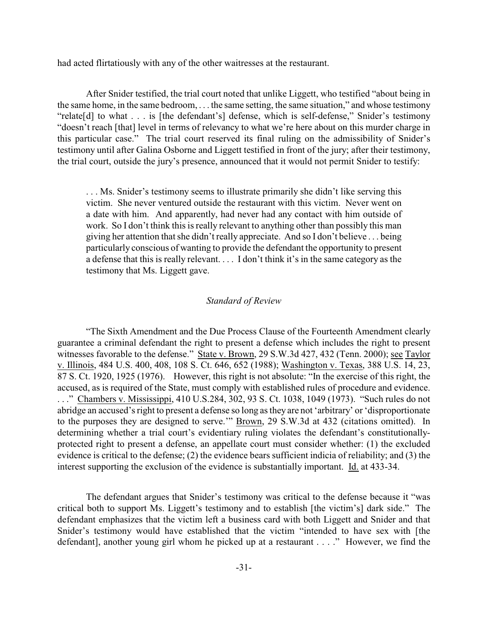had acted flirtatiously with any of the other waitresses at the restaurant.

After Snider testified, the trial court noted that unlike Liggett, who testified "about being in the same home, in the same bedroom, . . . the same setting, the same situation," and whose testimony "relate[d] to what . . . is [the defendant's] defense, which is self-defense," Snider's testimony "doesn't reach [that] level in terms of relevancy to what we're here about on this murder charge in this particular case." The trial court reserved its final ruling on the admissibility of Snider's testimony until after Galina Osborne and Liggett testified in front of the jury; after their testimony, the trial court, outside the jury's presence, announced that it would not permit Snider to testify:

. . . Ms. Snider's testimony seems to illustrate primarily she didn't like serving this victim. She never ventured outside the restaurant with this victim. Never went on a date with him. And apparently, had never had any contact with him outside of work. So I don't think this is really relevant to anything other than possibly this man giving her attention that she didn't really appreciate. And so I don't believe . . . being particularly conscious of wanting to provide the defendant the opportunity to present a defense that this is really relevant. . . . I don't think it's in the same category as the testimony that Ms. Liggett gave.

## *Standard of Review*

"The Sixth Amendment and the Due Process Clause of the Fourteenth Amendment clearly guarantee a criminal defendant the right to present a defense which includes the right to present witnesses favorable to the defense." State v. Brown, 29 S.W.3d 427, 432 (Tenn. 2000); see Taylor v. Illinois, 484 U.S. 400, 408, 108 S. Ct. 646, 652 (1988); Washington v. Texas, 388 U.S. 14, 23, 87 S. Ct. 1920, 1925 (1976). However, this right is not absolute: "In the exercise of this right, the accused, as is required of the State, must comply with established rules of procedure and evidence. . . ." Chambers v. Mississippi, 410 U.S.284, 302, 93 S. Ct. 1038, 1049 (1973). "Such rules do not abridge an accused's right to present a defense so long as they are not 'arbitrary' or 'disproportionate to the purposes they are designed to serve.'" Brown, 29 S.W.3d at 432 (citations omitted). In determining whether a trial court's evidentiary ruling violates the defendant's constitutionallyprotected right to present a defense, an appellate court must consider whether: (1) the excluded evidence is critical to the defense; (2) the evidence bears sufficient indicia of reliability; and (3) the interest supporting the exclusion of the evidence is substantially important. Id. at 433-34.

The defendant argues that Snider's testimony was critical to the defense because it "was critical both to support Ms. Liggett's testimony and to establish [the victim's] dark side." The defendant emphasizes that the victim left a business card with both Liggett and Snider and that Snider's testimony would have established that the victim "intended to have sex with [the defendant], another young girl whom he picked up at a restaurant . . . ." However, we find the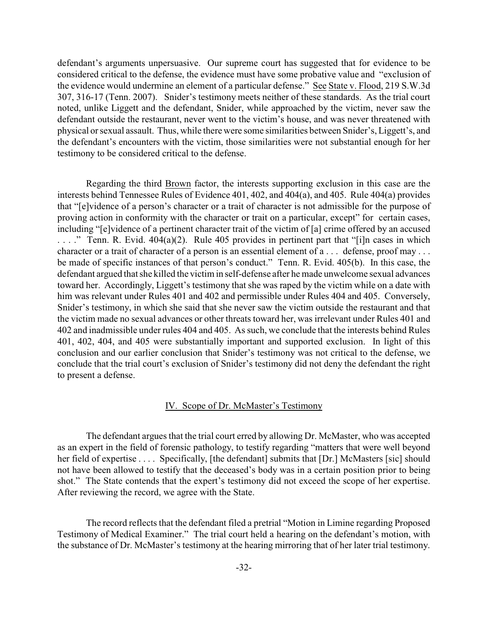defendant's arguments unpersuasive. Our supreme court has suggested that for evidence to be considered critical to the defense, the evidence must have some probative value and "exclusion of the evidence would undermine an element of a particular defense." See State v. Flood, 219 S.W.3d 307, 316-17 (Tenn. 2007). Snider's testimony meets neither of these standards. As the trial court noted, unlike Liggett and the defendant, Snider, while approached by the victim, never saw the defendant outside the restaurant, never went to the victim's house, and was never threatened with physical or sexual assault. Thus, while there were some similarities between Snider's, Liggett's, and the defendant's encounters with the victim, those similarities were not substantial enough for her testimony to be considered critical to the defense.

Regarding the third Brown factor, the interests supporting exclusion in this case are the interests behind Tennessee Rules of Evidence 401, 402, and 404(a), and 405. Rule 404(a) provides that "[e]vidence of a person's character or a trait of character is not admissible for the purpose of proving action in conformity with the character or trait on a particular, except" for certain cases, including "[e]vidence of a pertinent character trait of the victim of [a] crime offered by an accused  $\ldots$  ." Tenn. R. Evid. 404(a)(2). Rule 405 provides in pertinent part that "[i]n cases in which character or a trait of character of a person is an essential element of a . . . defense, proof may . . . be made of specific instances of that person's conduct." Tenn. R. Evid. 405(b). In this case, the defendant argued that she killed the victim in self-defense after he made unwelcome sexual advances toward her. Accordingly, Liggett's testimony that she was raped by the victim while on a date with him was relevant under Rules 401 and 402 and permissible under Rules 404 and 405. Conversely, Snider's testimony, in which she said that she never saw the victim outside the restaurant and that the victim made no sexual advances or other threats toward her, was irrelevant under Rules 401 and 402 and inadmissible under rules 404 and 405. As such, we conclude that the interests behind Rules 401, 402, 404, and 405 were substantially important and supported exclusion. In light of this conclusion and our earlier conclusion that Snider's testimony was not critical to the defense, we conclude that the trial court's exclusion of Snider's testimony did not deny the defendant the right to present a defense.

#### IV. Scope of Dr. McMaster's Testimony

The defendant argues that the trial court erred by allowing Dr. McMaster, who was accepted as an expert in the field of forensic pathology, to testify regarding "matters that were well beyond her field of expertise . . . . Specifically, [the defendant] submits that [Dr.] McMasters [sic] should not have been allowed to testify that the deceased's body was in a certain position prior to being shot." The State contends that the expert's testimony did not exceed the scope of her expertise. After reviewing the record, we agree with the State.

The record reflects that the defendant filed a pretrial "Motion in Limine regarding Proposed Testimony of Medical Examiner." The trial court held a hearing on the defendant's motion, with the substance of Dr. McMaster's testimony at the hearing mirroring that of her later trial testimony.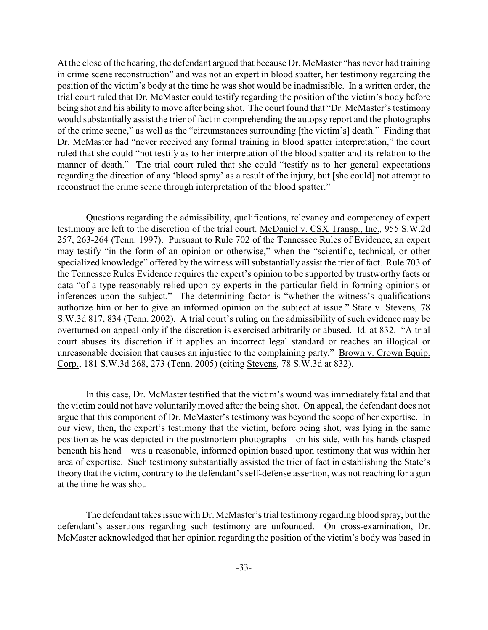At the close of the hearing, the defendant argued that because Dr. McMaster "has never had training in crime scene reconstruction" and was not an expert in blood spatter, her testimony regarding the position of the victim's body at the time he was shot would be inadmissible. In a written order, the trial court ruled that Dr. McMaster could testify regarding the position of the victim's body before being shot and his ability to move after being shot. The court found that "Dr. McMaster's testimony would substantially assist the trier of fact in comprehending the autopsy report and the photographs of the crime scene," as well as the "circumstances surrounding [the victim's] death." Finding that Dr. McMaster had "never received any formal training in blood spatter interpretation," the court ruled that she could "not testify as to her interpretation of the blood spatter and its relation to the manner of death." The trial court ruled that she could "testify as to her general expectations regarding the direction of any 'blood spray' as a result of the injury, but [she could] not attempt to reconstruct the crime scene through interpretation of the blood spatter."

Questions regarding the admissibility, qualifications, relevancy and competency of expert testimony are left to the discretion of the trial court. McDaniel v. CSX Transp., Inc.*,* 955 S.W.2d 257, 263-264 (Tenn. 1997). Pursuant to Rule 702 of the Tennessee Rules of Evidence, an expert may testify "in the form of an opinion or otherwise," when the "scientific, technical, or other specialized knowledge" offered by the witness will substantially assist the trier of fact. Rule 703 of the Tennessee Rules Evidence requires the expert's opinion to be supported by trustworthy facts or data "of a type reasonably relied upon by experts in the particular field in forming opinions or inferences upon the subject." The determining factor is "whether the witness's qualifications authorize him or her to give an informed opinion on the subject at issue." State v. Stevens*,* 78 S.W.3d 817, 834 (Tenn. 2002). A trial court's ruling on the admissibility of such evidence may be overturned on appeal only if the discretion is exercised arbitrarily or abused. Id. at 832. "A trial court abuses its discretion if it applies an incorrect legal standard or reaches an illogical or unreasonable decision that causes an injustice to the complaining party." Brown v. Crown Equip. Corp., 181 S.W.3d 268, 273 (Tenn. 2005) (citing Stevens, 78 S.W.3d at 832).

In this case, Dr. McMaster testified that the victim's wound was immediately fatal and that the victim could not have voluntarily moved after the being shot. On appeal, the defendant does not argue that this component of Dr. McMaster's testimony was beyond the scope of her expertise. In our view, then, the expert's testimony that the victim, before being shot, was lying in the same position as he was depicted in the postmortem photographs—on his side, with his hands clasped beneath his head—was a reasonable, informed opinion based upon testimony that was within her area of expertise. Such testimony substantially assisted the trier of fact in establishing the State's theory that the victim, contrary to the defendant's self-defense assertion, was not reaching for a gun at the time he was shot.

The defendant takes issue with Dr. McMaster's trial testimony regarding blood spray, but the defendant's assertions regarding such testimony are unfounded. On cross-examination, Dr. McMaster acknowledged that her opinion regarding the position of the victim's body was based in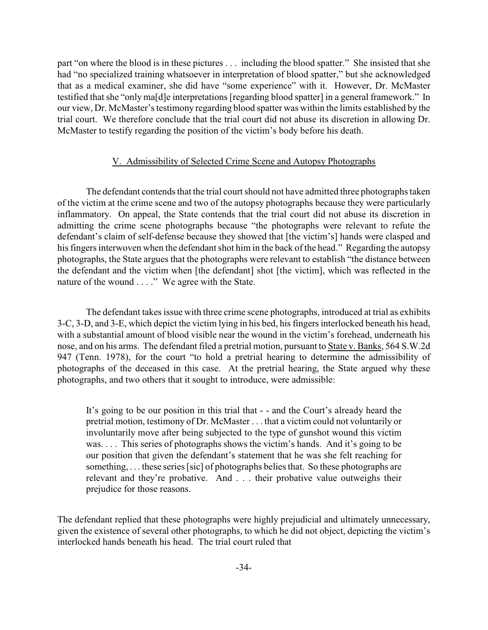part "on where the blood is in these pictures . . . including the blood spatter." She insisted that she had "no specialized training whatsoever in interpretation of blood spatter," but she acknowledged that as a medical examiner, she did have "some experience" with it. However, Dr. McMaster testified that she "only ma[d]e interpretations [regarding blood spatter] in a general framework." In our view, Dr. McMaster's testimony regarding blood spatter was within the limits established by the trial court. We therefore conclude that the trial court did not abuse its discretion in allowing Dr. McMaster to testify regarding the position of the victim's body before his death.

# V. Admissibility of Selected Crime Scene and Autopsy Photographs

The defendant contends that the trial court should not have admitted three photographs taken of the victim at the crime scene and two of the autopsy photographs because they were particularly inflammatory. On appeal, the State contends that the trial court did not abuse its discretion in admitting the crime scene photographs because "the photographs were relevant to refute the defendant's claim of self-defense because they showed that [the victim's] hands were clasped and his fingers interwoven when the defendant shot him in the back of the head." Regarding the autopsy photographs, the State argues that the photographs were relevant to establish "the distance between the defendant and the victim when [the defendant] shot [the victim], which was reflected in the nature of the wound . . . ." We agree with the State.

The defendant takes issue with three crime scene photographs, introduced at trial as exhibits 3-C, 3-D, and 3-E, which depict the victim lying in his bed, his fingers interlocked beneath his head, with a substantial amount of blood visible near the wound in the victim's forehead, underneath his nose, and on his arms. The defendant filed a pretrial motion, pursuant to State v. Banks, 564 S.W.2d 947 (Tenn. 1978), for the court "to hold a pretrial hearing to determine the admissibility of photographs of the deceased in this case. At the pretrial hearing, the State argued why these photographs, and two others that it sought to introduce, were admissible:

It's going to be our position in this trial that - - and the Court's already heard the pretrial motion, testimony of Dr. McMaster . . . that a victim could not voluntarily or involuntarily move after being subjected to the type of gunshot wound this victim was. . . . This series of photographs shows the victim's hands. And it's going to be our position that given the defendant's statement that he was she felt reaching for something, . . . these series [sic] of photographs belies that. So these photographs are relevant and they're probative. And . . . their probative value outweighs their prejudice for those reasons.

The defendant replied that these photographs were highly prejudicial and ultimately unnecessary, given the existence of several other photographs, to which he did not object, depicting the victim's interlocked hands beneath his head. The trial court ruled that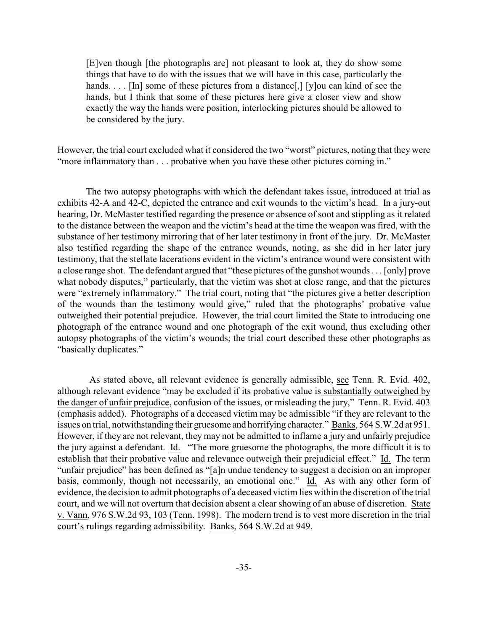[E]ven though [the photographs are] not pleasant to look at, they do show some things that have to do with the issues that we will have in this case, particularly the hands. . . . [In] some of these pictures from a distance[,] [y]ou can kind of see the hands, but I think that some of these pictures here give a closer view and show exactly the way the hands were position, interlocking pictures should be allowed to be considered by the jury.

However, the trial court excluded what it considered the two "worst" pictures, noting that they were "more inflammatory than . . . probative when you have these other pictures coming in."

The two autopsy photographs with which the defendant takes issue, introduced at trial as exhibits 42-A and 42-C, depicted the entrance and exit wounds to the victim's head. In a jury-out hearing, Dr. McMaster testified regarding the presence or absence of soot and stippling as it related to the distance between the weapon and the victim's head at the time the weapon was fired, with the substance of her testimony mirroring that of her later testimony in front of the jury. Dr. McMaster also testified regarding the shape of the entrance wounds, noting, as she did in her later jury testimony, that the stellate lacerations evident in the victim's entrance wound were consistent with a close range shot. The defendant argued that "these pictures of the gunshot wounds . . . [only] prove what nobody disputes," particularly, that the victim was shot at close range, and that the pictures were "extremely inflammatory." The trial court, noting that "the pictures give a better description of the wounds than the testimony would give," ruled that the photographs' probative value outweighed their potential prejudice. However, the trial court limited the State to introducing one photograph of the entrance wound and one photograph of the exit wound, thus excluding other autopsy photographs of the victim's wounds; the trial court described these other photographs as "basically duplicates."

 As stated above, all relevant evidence is generally admissible, see Tenn. R. Evid. 402, although relevant evidence "may be excluded if its probative value is substantially outweighed by the danger of unfair prejudice, confusion of the issues, or misleading the jury," Tenn. R. Evid. 403 (emphasis added). Photographs of a deceased victim may be admissible "if they are relevant to the issues on trial, notwithstanding their gruesome and horrifying character." Banks, 564 S.W.2d at 951. However, if they are not relevant, they may not be admitted to inflame a jury and unfairly prejudice the jury against a defendant. Id. "The more gruesome the photographs, the more difficult it is to establish that their probative value and relevance outweigh their prejudicial effect." Id. The term "unfair prejudice" has been defined as "[a]n undue tendency to suggest a decision on an improper basis, commonly, though not necessarily, an emotional one." Id. As with any other form of evidence, the decision to admit photographs of a deceased victim lies within the discretion of the trial court, and we will not overturn that decision absent a clear showing of an abuse of discretion. State v. Vann, 976 S.W.2d 93, 103 (Tenn. 1998). The modern trend is to vest more discretion in the trial court's rulings regarding admissibility. Banks, 564 S.W.2d at 949.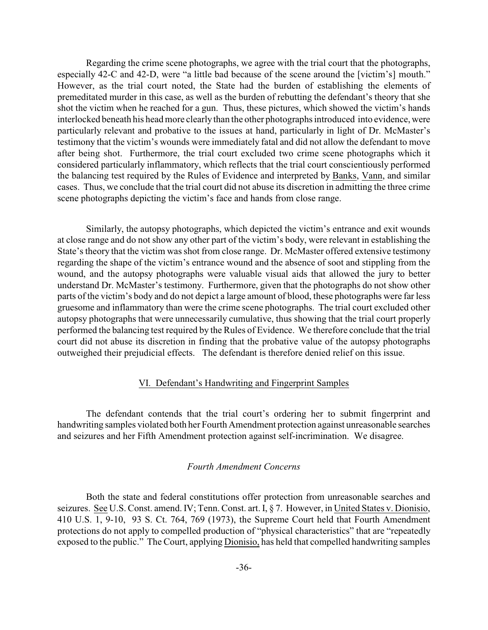Regarding the crime scene photographs, we agree with the trial court that the photographs, especially 42-C and 42-D, were "a little bad because of the scene around the [victim's] mouth." However, as the trial court noted, the State had the burden of establishing the elements of premeditated murder in this case, as well as the burden of rebutting the defendant's theory that she shot the victim when he reached for a gun. Thus, these pictures, which showed the victim's hands interlocked beneath his head more clearly than the other photographs introduced into evidence, were particularly relevant and probative to the issues at hand, particularly in light of Dr. McMaster's testimony that the victim's wounds were immediately fatal and did not allow the defendant to move after being shot. Furthermore, the trial court excluded two crime scene photographs which it considered particularly inflammatory, which reflects that the trial court conscientiously performed the balancing test required by the Rules of Evidence and interpreted by Banks, Vann, and similar cases. Thus, we conclude that the trial court did not abuse its discretion in admitting the three crime scene photographs depicting the victim's face and hands from close range.

Similarly, the autopsy photographs, which depicted the victim's entrance and exit wounds at close range and do not show any other part of the victim's body, were relevant in establishing the State's theory that the victim was shot from close range. Dr. McMaster offered extensive testimony regarding the shape of the victim's entrance wound and the absence of soot and stippling from the wound, and the autopsy photographs were valuable visual aids that allowed the jury to better understand Dr. McMaster's testimony. Furthermore, given that the photographs do not show other parts of the victim's body and do not depict a large amount of blood, these photographs were far less gruesome and inflammatory than were the crime scene photographs. The trial court excluded other autopsy photographs that were unnecessarily cumulative, thus showing that the trial court properly performed the balancing test required by the Rules of Evidence. We therefore conclude that the trial court did not abuse its discretion in finding that the probative value of the autopsy photographs outweighed their prejudicial effects. The defendant is therefore denied relief on this issue.

## VI. Defendant's Handwriting and Fingerprint Samples

The defendant contends that the trial court's ordering her to submit fingerprint and handwriting samples violated both her Fourth Amendment protection against unreasonable searches and seizures and her Fifth Amendment protection against self-incrimination. We disagree.

## *Fourth Amendment Concerns*

Both the state and federal constitutions offer protection from unreasonable searches and seizures. See U.S. Const. amend. IV; Tenn. Const. art. I, § 7. However, in United States v. Dionisio, 410 U.S. 1, 9-10, 93 S. Ct. 764, 769 (1973), the Supreme Court held that Fourth Amendment protections do not apply to compelled production of "physical characteristics" that are "repeatedly exposed to the public." The Court, applying Dionisio, has held that compelled handwriting samples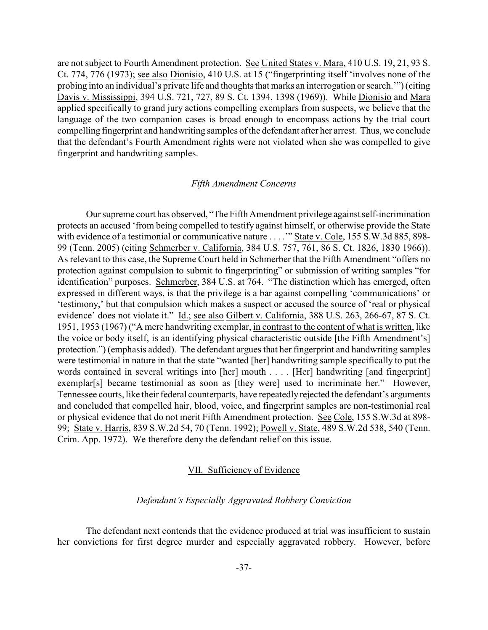are not subject to Fourth Amendment protection. See United States v. Mara, 410 U.S. 19, 21, 93 S. Ct. 774, 776 (1973); see also Dionisio, 410 U.S. at 15 ("fingerprinting itself 'involves none of the probing into an individual's private life and thoughts that marks an interrogation or search.'") (citing Davis v. Mississippi, 394 U.S. 721, 727, 89 S. Ct. 1394, 1398 (1969)). While Dionisio and Mara applied specifically to grand jury actions compelling exemplars from suspects, we believe that the language of the two companion cases is broad enough to encompass actions by the trial court compelling fingerprint and handwriting samples of the defendant after her arrest. Thus, we conclude that the defendant's Fourth Amendment rights were not violated when she was compelled to give fingerprint and handwriting samples.

# *Fifth Amendment Concerns*

Our supreme court has observed, "The Fifth Amendment privilege against self-incrimination protects an accused 'from being compelled to testify against himself, or otherwise provide the State with evidence of a testimonial or communicative nature . . . ." State v. Cole, 155 S.W.3d 885, 898-99 (Tenn. 2005) (citing Schmerber v. California, 384 U.S. 757, 761, 86 S. Ct. 1826, 1830 1966)). As relevant to this case, the Supreme Court held in Schmerber that the Fifth Amendment "offers no protection against compulsion to submit to fingerprinting" or submission of writing samples "for identification" purposes. Schmerber, 384 U.S. at 764. "The distinction which has emerged, often expressed in different ways, is that the privilege is a bar against compelling 'communications' or 'testimony,' but that compulsion which makes a suspect or accused the source of 'real or physical evidence' does not violate it." Id.; see also Gilbert v. California, 388 U.S. 263, 266-67, 87 S. Ct. 1951, 1953 (1967) ("A mere handwriting exemplar, in contrast to the content of what is written, like the voice or body itself, is an identifying physical characteristic outside [the Fifth Amendment's] protection.") (emphasis added). The defendant argues that her fingerprint and handwriting samples were testimonial in nature in that the state "wanted [her] handwriting sample specifically to put the words contained in several writings into [her] mouth . . . . [Her] handwriting [and fingerprint] exemplar[s] became testimonial as soon as [they were] used to incriminate her." However, Tennessee courts, like their federal counterparts, have repeatedly rejected the defendant's arguments and concluded that compelled hair, blood, voice, and fingerprint samples are non-testimonial real or physical evidence that do not merit Fifth Amendment protection. See Cole, 155 S.W.3d at 898- 99; State v. Harris, 839 S.W.2d 54, 70 (Tenn. 1992); Powell v. State, 489 S.W.2d 538, 540 (Tenn. Crim. App. 1972). We therefore deny the defendant relief on this issue.

#### VII. Sufficiency of Evidence

## *Defendant's Especially Aggravated Robbery Conviction*

The defendant next contends that the evidence produced at trial was insufficient to sustain her convictions for first degree murder and especially aggravated robbery. However, before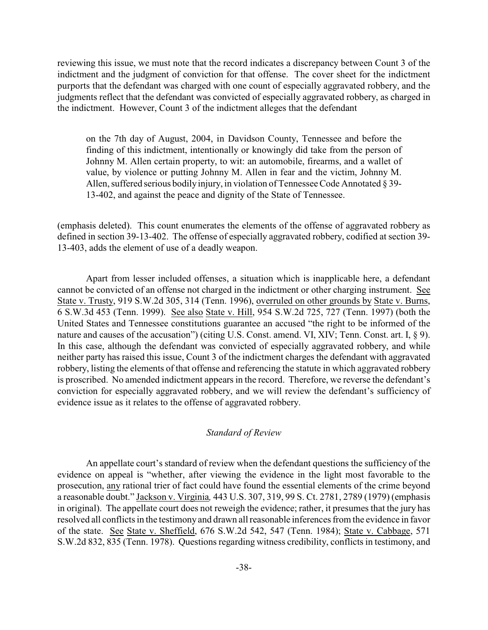reviewing this issue, we must note that the record indicates a discrepancy between Count 3 of the indictment and the judgment of conviction for that offense. The cover sheet for the indictment purports that the defendant was charged with one count of especially aggravated robbery, and the judgments reflect that the defendant was convicted of especially aggravated robbery, as charged in the indictment. However, Count 3 of the indictment alleges that the defendant

on the 7th day of August, 2004, in Davidson County, Tennessee and before the finding of this indictment, intentionally or knowingly did take from the person of Johnny M. Allen certain property, to wit: an automobile, firearms, and a wallet of value, by violence or putting Johnny M. Allen in fear and the victim, Johnny M. Allen, suffered serious bodilyinjury, in violation of Tennessee Code Annotated § 39- 13-402, and against the peace and dignity of the State of Tennessee.

(emphasis deleted). This count enumerates the elements of the offense of aggravated robbery as defined in section 39-13-402. The offense of especially aggravated robbery, codified at section 39- 13-403, adds the element of use of a deadly weapon.

Apart from lesser included offenses, a situation which is inapplicable here, a defendant cannot be convicted of an offense not charged in the indictment or other charging instrument. See State v. Trusty, 919 S.W.2d 305, 314 (Tenn. 1996), overruled on other grounds by State v. Burns, 6 S.W.3d 453 (Tenn. 1999). See also State v. Hill, 954 S.W.2d 725, 727 (Tenn. 1997) (both the United States and Tennessee constitutions guarantee an accused "the right to be informed of the nature and causes of the accusation") (citing U.S. Const. amend. VI, XIV; Tenn. Const. art. I, § 9). In this case, although the defendant was convicted of especially aggravated robbery, and while neither party has raised this issue, Count 3 of the indictment charges the defendant with aggravated robbery, listing the elements of that offense and referencing the statute in which aggravated robbery is proscribed. No amended indictment appears in the record. Therefore, we reverse the defendant's conviction for especially aggravated robbery, and we will review the defendant's sufficiency of evidence issue as it relates to the offense of aggravated robbery.

#### *Standard of Review*

An appellate court's standard of review when the defendant questions the sufficiency of the evidence on appeal is "whether, after viewing the evidence in the light most favorable to the prosecution, any rational trier of fact could have found the essential elements of the crime beyond a reasonable doubt." Jackson v. Virginia*,* 443 U.S. 307, 319, 99 S. Ct. 2781, 2789 (1979) (emphasis in original). The appellate court does not reweigh the evidence; rather, it presumes that the jury has resolved all conflicts in the testimony and drawn all reasonable inferences from the evidence in favor of the state. See State v. Sheffield, 676 S.W.2d 542, 547 (Tenn. 1984); State v. Cabbage, 571 S.W.2d 832, 835 (Tenn. 1978). Questions regarding witness credibility, conflicts in testimony, and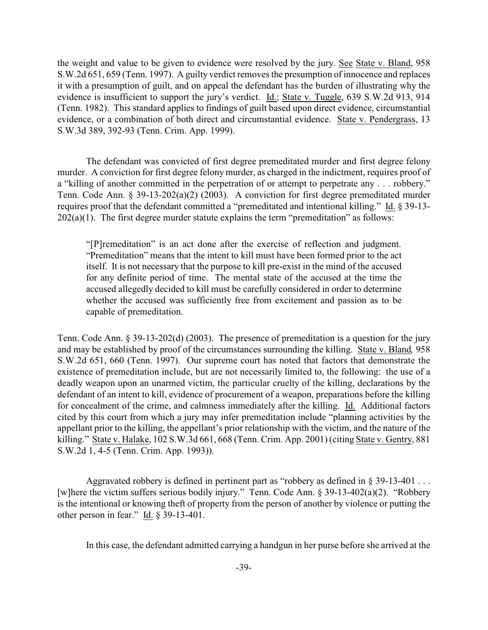the weight and value to be given to evidence were resolved by the jury. See State v. Bland, 958 S.W.2d 651, 659 (Tenn. 1997). A guilty verdict removes the presumption of innocence and replaces it with a presumption of guilt, and on appeal the defendant has the burden of illustrating why the evidence is insufficient to support the jury's verdict. Id.; State v. Tuggle, 639 S.W.2d 913, 914 (Tenn. 1982). This standard applies to findings of guilt based upon direct evidence, circumstantial evidence, or a combination of both direct and circumstantial evidence. State v. Pendergrass, 13 S.W.3d 389, 392-93 (Tenn. Crim. App. 1999).

The defendant was convicted of first degree premeditated murder and first degree felony murder. A conviction for first degree felony murder, as charged in the indictment, requires proof of a "killing of another committed in the perpetration of or attempt to perpetrate any . . . robbery." Tenn. Code Ann. § 39-13-202(a)(2) (2003). A conviction for first degree premeditated murder requires proof that the defendant committed a "premeditated and intentional killing." Id. § 39-13-  $202(a)(1)$ . The first degree murder statute explains the term "premeditation" as follows:

"[P]remeditation" is an act done after the exercise of reflection and judgment. "Premeditation" means that the intent to kill must have been formed prior to the act itself. It is not necessary that the purpose to kill pre-exist in the mind of the accused for any definite period of time. The mental state of the accused at the time the accused allegedly decided to kill must be carefully considered in order to determine whether the accused was sufficiently free from excitement and passion as to be capable of premeditation.

Tenn. Code Ann. § 39-13-202(d) (2003). The presence of premeditation is a question for the jury and may be established by proof of the circumstances surrounding the killing. State v. Bland*,* 958 S.W.2d 651, 660 (Tenn. 1997). Our supreme court has noted that factors that demonstrate the existence of premeditation include, but are not necessarily limited to, the following: the use of a deadly weapon upon an unarmed victim, the particular cruelty of the killing, declarations by the defendant of an intent to kill, evidence of procurement of a weapon, preparations before the killing for concealment of the crime, and calmness immediately after the killing. Id. Additional factors cited by this court from which a jury may infer premeditation include "planning activities by the appellant prior to the killing, the appellant's prior relationship with the victim, and the nature of the killing." State v. Halake, 102 S.W.3d 661, 668 (Tenn. Crim. App. 2001) (citing State v. Gentry, 881 S.W.2d 1, 4-5 (Tenn. Crim. App. 1993)).

Aggravated robbery is defined in pertinent part as "robbery as defined in § 39-13-401 . . . [w]here the victim suffers serious bodily injury." Tenn. Code Ann. § 39-13-402(a)(2). "Robbery is the intentional or knowing theft of property from the person of another by violence or putting the other person in fear."  $\underline{Id}$ . § 39-13-401.

In this case, the defendant admitted carrying a handgun in her purse before she arrived at the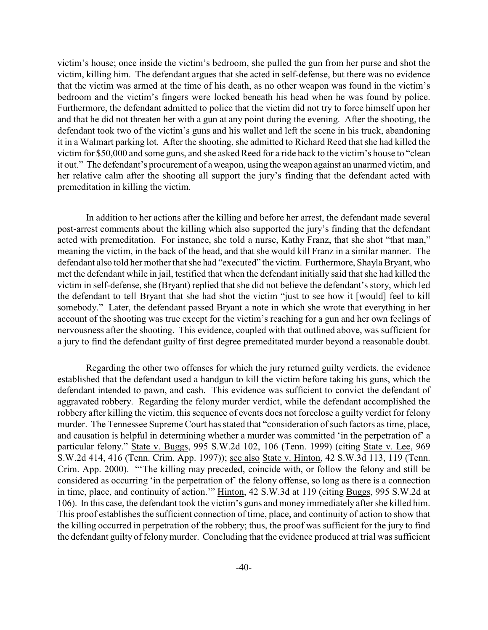victim's house; once inside the victim's bedroom, she pulled the gun from her purse and shot the victim, killing him. The defendant argues that she acted in self-defense, but there was no evidence that the victim was armed at the time of his death, as no other weapon was found in the victim's bedroom and the victim's fingers were locked beneath his head when he was found by police. Furthermore, the defendant admitted to police that the victim did not try to force himself upon her and that he did not threaten her with a gun at any point during the evening. After the shooting, the defendant took two of the victim's guns and his wallet and left the scene in his truck, abandoning it in a Walmart parking lot. After the shooting, she admitted to Richard Reed that she had killed the victim for \$50,000 and some guns, and she asked Reed for a ride back to the victim's house to "clean it out." The defendant's procurement of a weapon, using the weapon against an unarmed victim, and her relative calm after the shooting all support the jury's finding that the defendant acted with premeditation in killing the victim.

In addition to her actions after the killing and before her arrest, the defendant made several post-arrest comments about the killing which also supported the jury's finding that the defendant acted with premeditation. For instance, she told a nurse, Kathy Franz, that she shot "that man," meaning the victim, in the back of the head, and that she would kill Franz in a similar manner. The defendant also told her mother that she had "executed" the victim. Furthermore, Shayla Bryant, who met the defendant while in jail, testified that when the defendant initially said that she had killed the victim in self-defense, she (Bryant) replied that she did not believe the defendant's story, which led the defendant to tell Bryant that she had shot the victim "just to see how it [would] feel to kill somebody." Later, the defendant passed Bryant a note in which she wrote that everything in her account of the shooting was true except for the victim's reaching for a gun and her own feelings of nervousness after the shooting. This evidence, coupled with that outlined above, was sufficient for a jury to find the defendant guilty of first degree premeditated murder beyond a reasonable doubt.

Regarding the other two offenses for which the jury returned guilty verdicts, the evidence established that the defendant used a handgun to kill the victim before taking his guns, which the defendant intended to pawn, and cash. This evidence was sufficient to convict the defendant of aggravated robbery. Regarding the felony murder verdict, while the defendant accomplished the robbery after killing the victim, this sequence of events does not foreclose a guilty verdict for felony murder. The Tennessee Supreme Court has stated that "consideration of such factors as time, place, and causation is helpful in determining whether a murder was committed 'in the perpetration of' a particular felony." State v. Buggs, 995 S.W.2d 102, 106 (Tenn. 1999) (citing State v. Lee, 969 S.W.2d 414, 416 (Tenn. Crim. App. 1997)); see also State v. Hinton, 42 S.W.3d 113, 119 (Tenn. Crim. App. 2000). "'The killing may preceded, coincide with, or follow the felony and still be considered as occurring 'in the perpetration of' the felony offense, so long as there is a connection in time, place, and continuity of action.'" Hinton, 42 S.W.3d at 119 (citing Buggs, 995 S.W.2d at 106). In this case, the defendant took the victim's guns and money immediately after she killed him. This proof establishes the sufficient connection of time, place, and continuity of action to show that the killing occurred in perpetration of the robbery; thus, the proof was sufficient for the jury to find the defendant guilty of felonymurder. Concluding that the evidence produced at trial was sufficient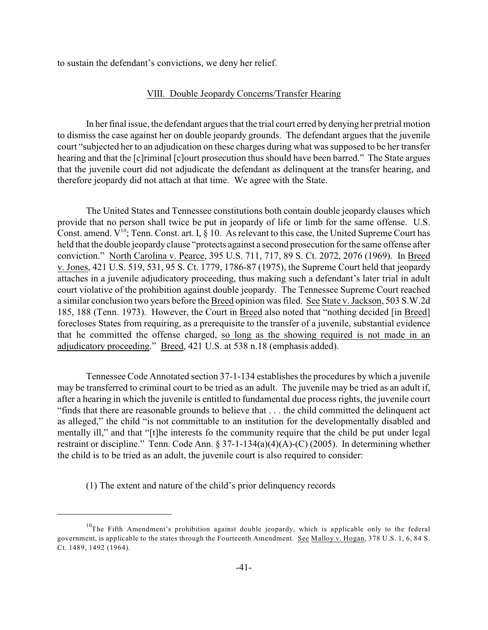to sustain the defendant's convictions, we deny her relief.

## VIII. Double Jeopardy Concerns/Transfer Hearing

In her final issue, the defendant argues that the trial court erred bydenying her pretrial motion to dismiss the case against her on double jeopardy grounds. The defendant argues that the juvenile court "subjected her to an adjudication on these charges during what was supposed to be her transfer hearing and that the [c]riminal [c]ourt prosecution thus should have been barred." The State argues that the juvenile court did not adjudicate the defendant as delinquent at the transfer hearing, and therefore jeopardy did not attach at that time. We agree with the State.

The United States and Tennessee constitutions both contain double jeopardy clauses which provide that no person shall twice be put in jeopardy of life or limb for the same offense. U.S. Const. amend.  $V^{10}$ ; Tenn. Const. art. I, § 10. As relevant to this case, the United Supreme Court has held that the double jeopardy clause "protects against a second prosecution for the same offense after conviction." North Carolina v. Pearce, 395 U.S. 711, 717, 89 S. Ct. 2072, 2076 (1969). In Breed v. Jones, 421 U.S. 519, 531, 95 S. Ct. 1779, 1786-87 (1975), the Supreme Court held that jeopardy attaches in a juvenile adjudicatory proceeding, thus making such a defendant's later trial in adult court violative of the prohibition against double jeopardy. The Tennessee Supreme Court reached a similar conclusion two years before the Breed opinion was filed. See State v. Jackson, 503 S.W.2d 185, 188 (Tenn. 1973). However, the Court in Breed also noted that "nothing decided [in Breed] forecloses States from requiring, as a prerequisite to the transfer of a juvenile, substantial evidence that he committed the offense charged, so long as the showing required is not made in an adjudicatory proceeding." Breed, 421 U.S. at 538 n.18 (emphasis added).

Tennessee Code Annotated section 37-1-134 establishes the procedures by which a juvenile may be transferred to criminal court to be tried as an adult. The juvenile may be tried as an adult if, after a hearing in which the juvenile is entitled to fundamental due process rights, the juvenile court "finds that there are reasonable grounds to believe that . . . the child committed the delinquent act as alleged," the child "is not committable to an institution for the developmentally disabled and mentally ill," and that "[t]he interests fo the community require that the child be put under legal restraint or discipline." Tenn. Code Ann. § 37-1-134(a)(4)(A)-(C) (2005). In determining whether the child is to be tried as an adult, the juvenile court is also required to consider:

(1) The extent and nature of the child's prior delinquency records

 $10$ The Fifth Amendment's prohibition against double jeopardy, which is applicable only to the federal government, is applicable to the states through the Fourteenth Amendment. See Malloy v. Hogan, 378 U.S. 1, 6, 84 S. Ct. 1489, 1492 (1964).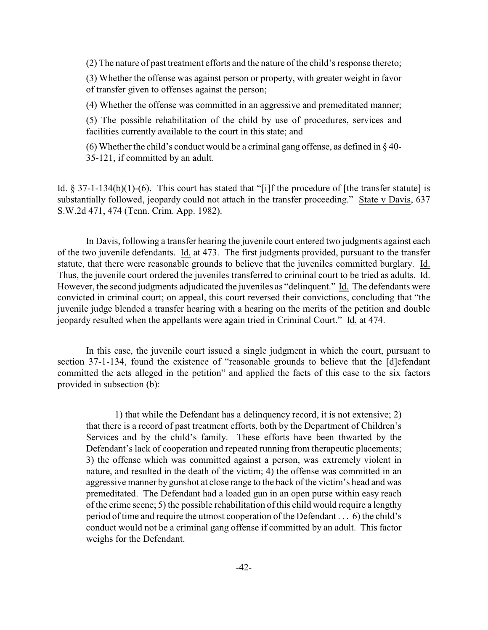(2) The nature of past treatment efforts and the nature of the child's response thereto;

(3) Whether the offense was against person or property, with greater weight in favor of transfer given to offenses against the person;

(4) Whether the offense was committed in an aggressive and premeditated manner;

(5) The possible rehabilitation of the child by use of procedures, services and facilities currently available to the court in this state; and

(6) Whether the child's conduct would be a criminal gang offense, as defined in  $\S 40$ -35-121, if committed by an adult.

Id.  $\S 37-1-134(b)(1)-(6)$ . This court has stated that "[i]f the procedure of [the transfer statute] is substantially followed, jeopardy could not attach in the transfer proceeding." State v Davis, 637 S.W.2d 471, 474 (Tenn. Crim. App. 1982).

In Davis, following a transfer hearing the juvenile court entered two judgments against each of the two juvenile defendants. Id. at 473. The first judgments provided, pursuant to the transfer statute, that there were reasonable grounds to believe that the juveniles committed burglary. Id. Thus, the juvenile court ordered the juveniles transferred to criminal court to be tried as adults. Id. However, the second judgments adjudicated the juveniles as "delinquent." Id. The defendants were convicted in criminal court; on appeal, this court reversed their convictions, concluding that "the juvenile judge blended a transfer hearing with a hearing on the merits of the petition and double jeopardy resulted when the appellants were again tried in Criminal Court." Id. at 474.

In this case, the juvenile court issued a single judgment in which the court, pursuant to section 37-1-134, found the existence of "reasonable grounds to believe that the [d]efendant committed the acts alleged in the petition" and applied the facts of this case to the six factors provided in subsection (b):

1) that while the Defendant has a delinquency record, it is not extensive; 2) that there is a record of past treatment efforts, both by the Department of Children's Services and by the child's family. These efforts have been thwarted by the Defendant's lack of cooperation and repeated running from therapeutic placements; 3) the offense which was committed against a person, was extremely violent in nature, and resulted in the death of the victim; 4) the offense was committed in an aggressive manner by gunshot at close range to the back of the victim's head and was premeditated. The Defendant had a loaded gun in an open purse within easy reach of the crime scene; 5) the possible rehabilitation of this child would require a lengthy period of time and require the utmost cooperation of the Defendant . . . 6) the child's conduct would not be a criminal gang offense if committed by an adult. This factor weighs for the Defendant.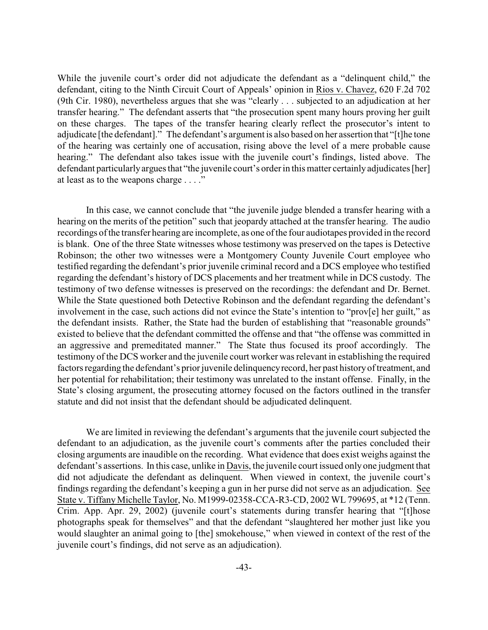While the juvenile court's order did not adjudicate the defendant as a "delinquent child," the defendant, citing to the Ninth Circuit Court of Appeals' opinion in Rios v. Chavez, 620 F.2d 702 (9th Cir. 1980), nevertheless argues that she was "clearly . . . subjected to an adjudication at her transfer hearing." The defendant asserts that "the prosecution spent many hours proving her guilt on these charges. The tapes of the transfer hearing clearly reflect the prosecutor's intent to adjudicate [the defendant]." The defendant's argument is also based on her assertion that "[t]he tone of the hearing was certainly one of accusation, rising above the level of a mere probable cause hearing." The defendant also takes issue with the juvenile court's findings, listed above. The defendant particularly argues that "the juvenile court's order in this matter certainly adjudicates [her] at least as to the weapons charge . . . ."

In this case, we cannot conclude that "the juvenile judge blended a transfer hearing with a hearing on the merits of the petition" such that jeopardy attached at the transfer hearing. The audio recordings of the transfer hearing are incomplete, as one of the four audiotapes provided in the record is blank. One of the three State witnesses whose testimony was preserved on the tapes is Detective Robinson; the other two witnesses were a Montgomery County Juvenile Court employee who testified regarding the defendant's prior juvenile criminal record and a DCS employee who testified regarding the defendant's history of DCS placements and her treatment while in DCS custody. The testimony of two defense witnesses is preserved on the recordings: the defendant and Dr. Bernet. While the State questioned both Detective Robinson and the defendant regarding the defendant's involvement in the case, such actions did not evince the State's intention to "prov[e] her guilt," as the defendant insists. Rather, the State had the burden of establishing that "reasonable grounds" existed to believe that the defendant committed the offense and that "the offense was committed in an aggressive and premeditated manner." The State thus focused its proof accordingly. The testimony of the DCS worker and the juvenile court worker was relevant in establishing the required factors regarding the defendant's prior juvenile delinquency record, her past history of treatment, and her potential for rehabilitation; their testimony was unrelated to the instant offense. Finally, in the State's closing argument, the prosecuting attorney focused on the factors outlined in the transfer statute and did not insist that the defendant should be adjudicated delinquent.

We are limited in reviewing the defendant's arguments that the juvenile court subjected the defendant to an adjudication, as the juvenile court's comments after the parties concluded their closing arguments are inaudible on the recording. What evidence that does exist weighs against the defendant's assertions. In this case, unlike in Davis, the juvenile court issued only one judgment that did not adjudicate the defendant as delinquent. When viewed in context, the juvenile court's findings regarding the defendant's keeping a gun in her purse did not serve as an adjudication. See State v. Tiffany Michelle Taylor, No. M1999-02358-CCA-R3-CD, 2002 WL 799695, at \*12 (Tenn. Crim. App. Apr. 29, 2002) (juvenile court's statements during transfer hearing that "[t]hose photographs speak for themselves" and that the defendant "slaughtered her mother just like you would slaughter an animal going to [the] smokehouse," when viewed in context of the rest of the juvenile court's findings, did not serve as an adjudication).